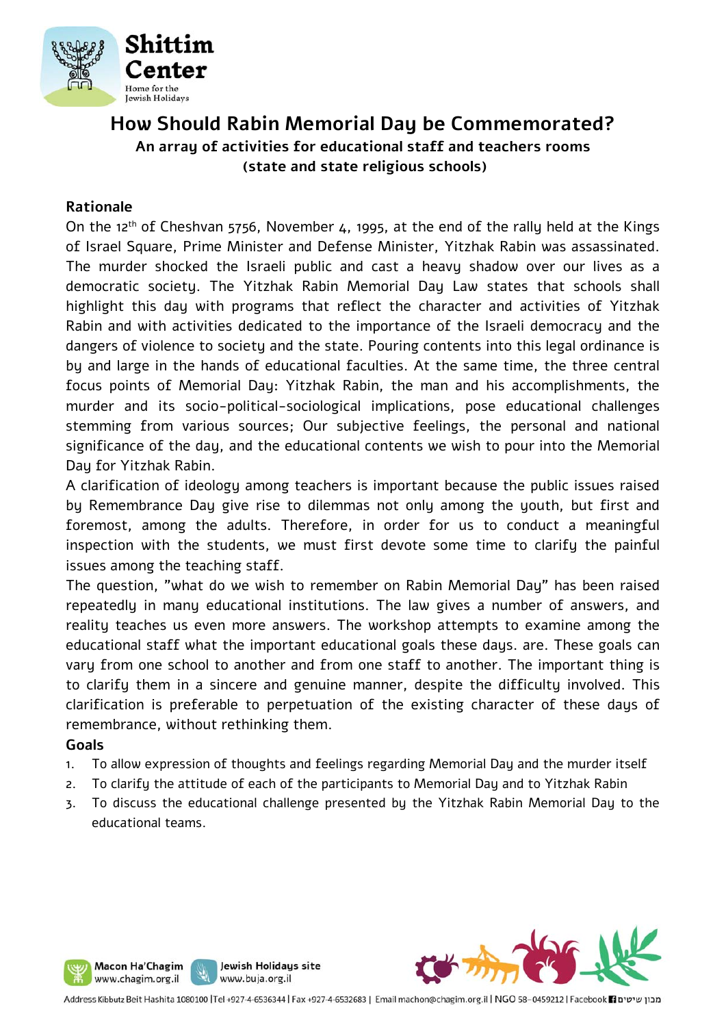

## **How Should Rabin Memorial Day be Commemorated? An array of activities for educational staff and teachers rooms (state and state religious schools)**

#### **Rationale**

On the 12th of Cheshvan 5756, November 4, 1995, at the end of the rally held at the Kings of Israel Square, Prime Minister and Defense Minister, Yitzhak Rabin was assassinated. The murder shocked the Israeli public and cast a heavy shadow over our lives as a democratic society. The Yitzhak Rabin Memorial Day Law states that schools shall highlight this day with programs that reflect the character and activities of Yitzhak Rabin and with activities dedicated to the importance of the Israeli democracy and the dangers of violence to society and the state. Pouring contents into this legal ordinance is by and large in the hands of educational faculties. At the same time, the three central focus points of Memorial Day: Yitzhak Rabin, the man and his accomplishments, the murder and its socio-political-sociological implications, pose educational challenges stemming from various sources; Our subjective feelings, the personal and national significance of the day, and the educational contents we wish to pour into the Memorial Day for Yitzhak Rabin.

A clarification of ideology among teachers is important because the public issues raised by Remembrance Dau give rise to dilemmas not only among the youth, but first and foremost, among the adults. Therefore, in order for us to conduct a meaningful inspection with the students, we must first devote some time to clarify the painful issues among the teaching staff.

The question, "what do we wish to remember on Rabin Memorial Day" has been raised repeatedly in many educational institutions. The law gives a number of answers, and reality teaches us even more answers. The workshop attempts to examine among the educational staff what the important educational goals these days. are. These goals can vary from one school to another and from one staff to another. The important thing is to clarify them in a sincere and genuine manner, despite the difficulty involved. This clarification is preferable to perpetuation of the existing character of these days of remembrance, without rethinking them.

#### **Goals**

- 1. To allow expression of thoughts and feelings regarding Memorial Day and the murder itself
- 2. To clarify the attitude of each of the participants to Memorial Day and to Yitzhak Rabin
- 3. To discuss the educational challenge presented by the Yitzhak Rabin Memorial Day to the educational teams.



Macon Ha'Chagim

www.chagim.org.il

Jewish Holidays site

www.buja.org.il

J ľ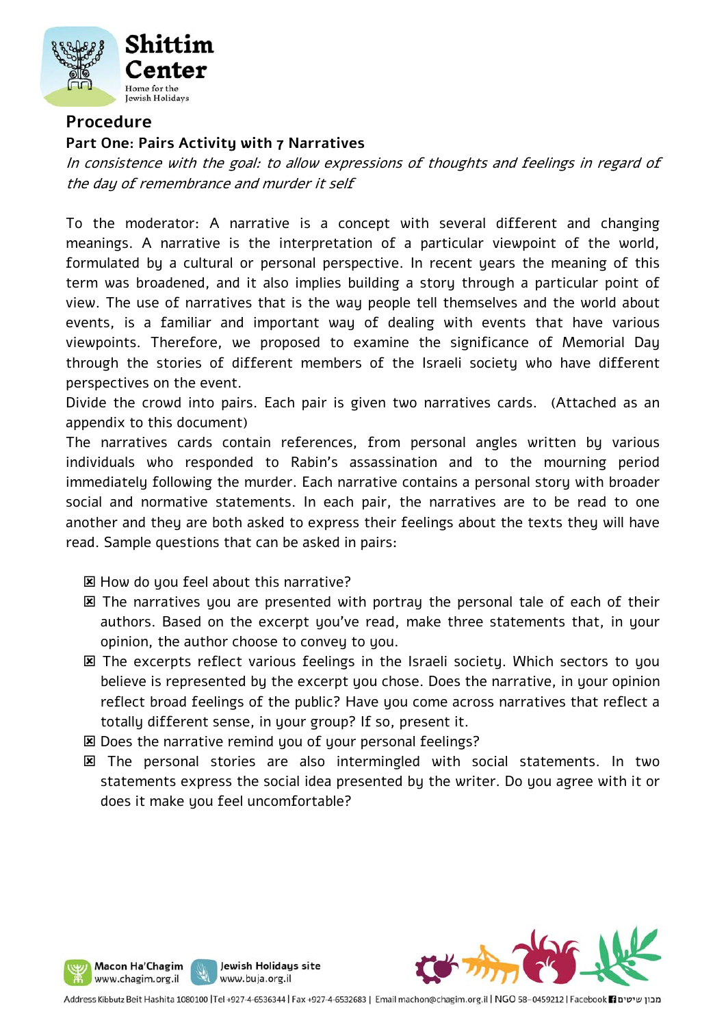

## **Procedure**

#### **Part One: Pairs Activity with 7 Narratives**

In consistence with the goal: to allow expressions of thoughts and feelings in regard of the day of remembrance and murder it self

To the moderator: A narrative is a concept with several different and changing meanings. A narrative is the interpretation of a particular viewpoint of the world, formulated by a cultural or personal perspective. In recent years the meaning of this term was broadened, and it also implies building a story through a particular point of view. The use of narratives that is the way people tell themselves and the world about events, is a familiar and important way of dealing with events that have various viewpoints. Therefore, we proposed to examine the significance of Memorial Day through the stories of different members of the Israeli society who have different perspectives on the event.

Divide the crowd into pairs. Each pair is given two narratives cards. (Attached as an appendix to this document)

The narratives cards contain references, from personal angles written by various individuals who responded to Rabin's assassination and to the mourning period immediately following the murder. Each narrative contains a personal story with broader social and normative statements. In each pair, the narratives are to be read to one another and they are both asked to express their feelings about the texts they will have read. Sample questions that can be asked in pairs:

**EX How do you feel about this narrative?** 

- The narratives you are presented with portray the personal tale of each of their authors. Based on the excerpt you've read, make three statements that, in your opinion, the author choose to convey to you.
- The excerpts reflect various feelings in the Israeli society. Which sectors to you believe is represented by the excerpt you chose. Does the narrative, in your opinion reflect broad feelings of the public? Have you come across narratives that reflect a totally different sense, in your group? If so, present it.
- Does the narrative remind you of your personal feelings?

Jewish Holidays site

www.buja.org.il

Macon Ha'Chagim www.chagim.org.il

 The personal stories are also intermingled with social statements. In two statements express the social idea presented by the writer. Do you agree with it or does it make you feel uncomfortable?

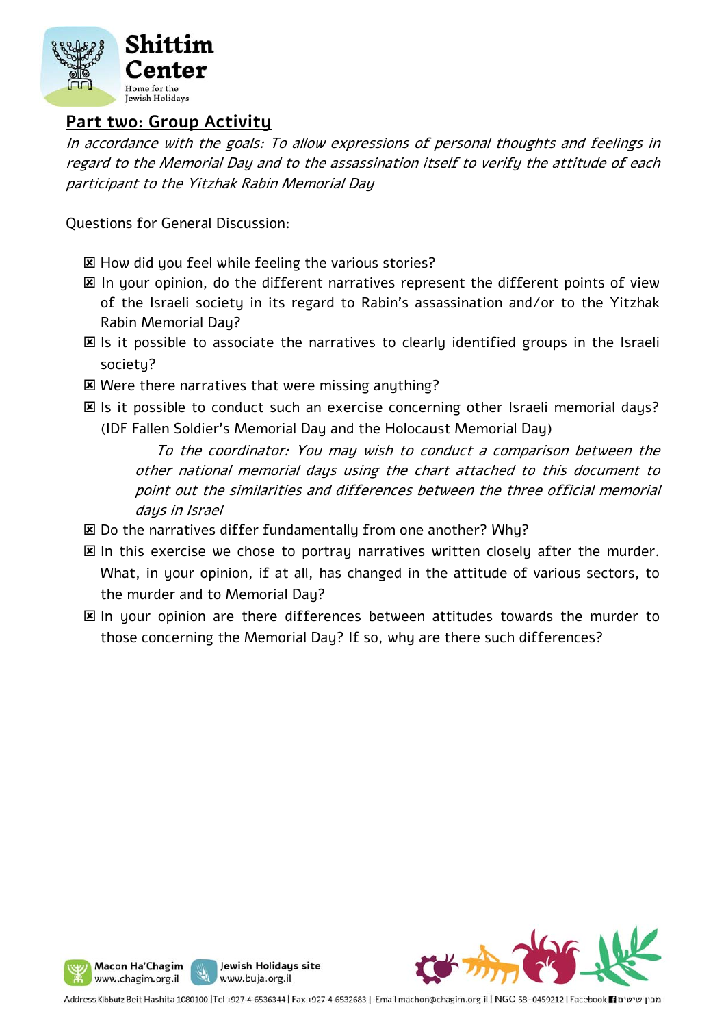

## **Part two: Group Activity**

In accordance with the goals: To allow expressions of personal thoughts and feelings in regard to the Memorial Day and to the assassination itself to verify the attitude of each participant to the Yitzhak Rabin Memorial Day

Questions for General Discussion:

- How did you feel while feeling the various stories?
- $\boxtimes$  In your opinion, do the different narratives represent the different points of view of the Israeli society in its regard to Rabin's assassination and/or to the Yitzhak Rabin Memorial Day?
- Is it possible to associate the narratives to clearly identified groups in the Israeli society?
- Were there narratives that were missing anything?
- Is it possible to conduct such an exercise concerning other Israeli memorial days? (IDF Fallen Soldier's Memorial Day and the Holocaust Memorial Day)

 To the coordinator: You may wish to conduct a comparison between the other national memorial days using the chart attached to this document to point out the similarities and differences between the three official memorial daus in Israel

- **EX Do the narratives differ fundamentally from one another? Why?**
- $\boxtimes$  In this exercise we chose to portray narratives written closely after the murder. What, in your opinion, if at all, has changed in the attitude of various sectors, to the murder and to Memorial Day?
- In your opinion are there differences between attitudes towards the murder to those concerning the Memorial Day? If so, why are there such differences?



www.chagim.org.il www.buja.org.il Address Kibbutz Beit Hashita 1080100 |Tel +927-4-6536344 | Fax +927-4-6532683 | Email machon@chagim.org.il | NGO 58-0459212 | Facebook 1 מבון שיטים

Jewish Holidays site

Macon Ha'Chagim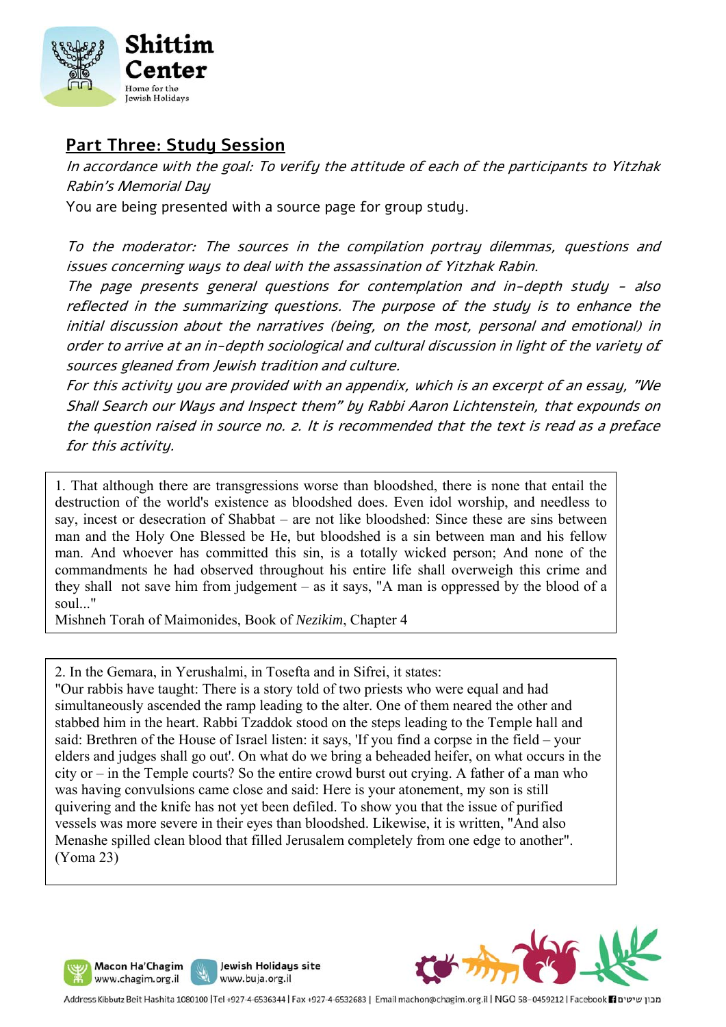

## **Part Three: Study Session**

In accordance with the goal: To verify the attitude of each of the participants to Yitzhak Rabin's Memorial Day

You are being presented with a source page for group study.

To the moderator: The sources in the compilation portray dilemmas, questions and issues concerning ways to deal with the assassination of Yitzhak Rabin.

The page presents general questions for contemplation and in-depth study - also reflected in the summarizing questions. The purpose of the study is to enhance the initial discussion about the narratives (being, on the most, personal and emotional) in order to arrive at an in-depth sociological and cultural discussion in light of the variety of sources gleaned from Jewish tradition and culture.

For this activity you are provided with an appendix, which is an excerpt of an essay, "We Shall Search our Ways and Inspect them" by Rabbi Aaron Lichtenstein, that expounds on the question raised in source no. 2. It is recommended that the text is read as a preface for this activity.

1. That although there are transgressions worse than bloodshed, there is none that entail the destruction of the world's existence as bloodshed does. Even idol worship, and needless to say, incest or desecration of Shabbat – are not like bloodshed: Since these are sins between man and the Holy One Blessed be He, but bloodshed is a sin between man and his fellow man. And whoever has committed this sin, is a totally wicked person; And none of the commandments he had observed throughout his entire life shall overweigh this crime and they shall not save him from judgement – as it says, "A man is oppressed by the blood of a soul..."

Mishneh Torah of Maimonides, Book of *Nezikim*, Chapter 4

2. In the Gemara, in Yerushalmi, in Tosefta and in Sifrei, it states:

"Our rabbis have taught: There is a story told of two priests who were equal and had simultaneously ascended the ramp leading to the alter. One of them neared the other and stabbed him in the heart. Rabbi Tzaddok stood on the steps leading to the Temple hall and said: Brethren of the House of Israel listen: it says, 'If you find a corpse in the field – your elders and judges shall go out'. On what do we bring a beheaded heifer, on what occurs in the city or – in the Temple courts? So the entire crowd burst out crying. A father of a man who was having convulsions came close and said: Here is your atonement, my son is still quivering and the knife has not yet been defiled. To show you that the issue of purified vessels was more severe in their eyes than bloodshed. Likewise, it is written, "And also Menashe spilled clean blood that filled Jerusalem completely from one edge to another". (Yoma 23)





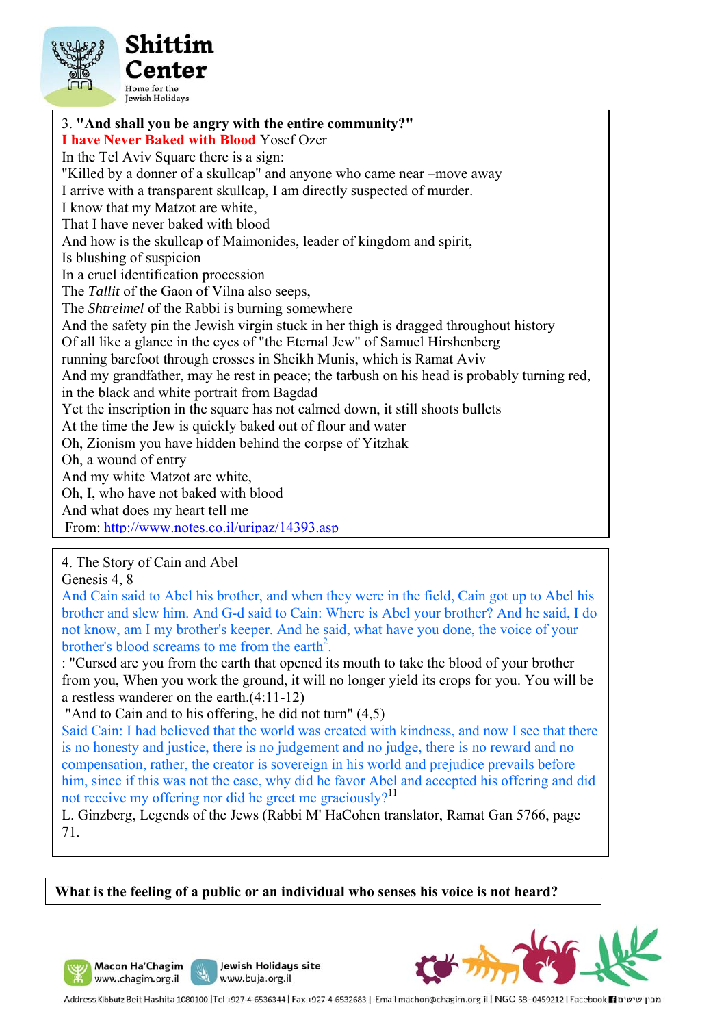

3. **"And shall you be angry with the entire community?" I have Never Baked with Blood** Yosef Ozer In the Tel Aviv Square there is a sign: "Killed by a donner of a skullcap" and anyone who came near –move away I arrive with a transparent skullcap, I am directly suspected of murder. I know that my Matzot are white, That I have never baked with blood And how is the skullcap of Maimonides, leader of kingdom and spirit, Is blushing of suspicion In a cruel identification procession The *Tallit* of the Gaon of Vilna also seeps, The *Shtreimel* of the Rabbi is burning somewhere And the safety pin the Jewish virgin stuck in her thigh is dragged throughout history Of all like a glance in the eyes of "the Eternal Jew" of Samuel Hirshenberg running barefoot through crosses in Sheikh Munis, which is Ramat Aviv And my grandfather, may he rest in peace; the tarbush on his head is probably turning red, in the black and white portrait from Bagdad Yet the inscription in the square has not calmed down, it still shoots bullets At the time the Jew is quickly baked out of flour and water Oh, Zionism you have hidden behind the corpse of Yitzhak Oh, a wound of entry And my white Matzot are white, Oh, I, who have not baked with blood And what does my heart tell me From: http://www.notes.co.il/uripaz/14393.asp

4. The Story of Cain and Abel

Genesis 4, 8

And Cain said to Abel his brother, and when they were in the field, Cain got up to Abel his brother and slew him. And G-d said to Cain: Where is Abel your brother? And he said, I do not know, am I my brother's keeper. And he said, what have you done, the voice of your brother's blood screams to me from the earth<sup>2</sup>.

: "Cursed are you from the earth that opened its mouth to take the blood of your brother from you, When you work the ground, it will no longer yield its crops for you. You will be a restless wanderer on the earth.(4:11-12)

"And to Cain and to his offering, he did not turn" (4,5)

Said Cain: I had believed that the world was created with kindness, and now I see that there is no honesty and justice, there is no judgement and no judge, there is no reward and no compensation, rather, the creator is sovereign in his world and prejudice prevails before him, since if this was not the case, why did he favor Abel and accepted his offering and did not receive my offering nor did he greet me graciously?<sup>11</sup>

L. Ginzberg, Legends of the Jews (Rabbi M' HaCohen translator, Ramat Gan 5766, page 71.

**What is the feeling of a public or an individual who senses his voice is not heard?** 







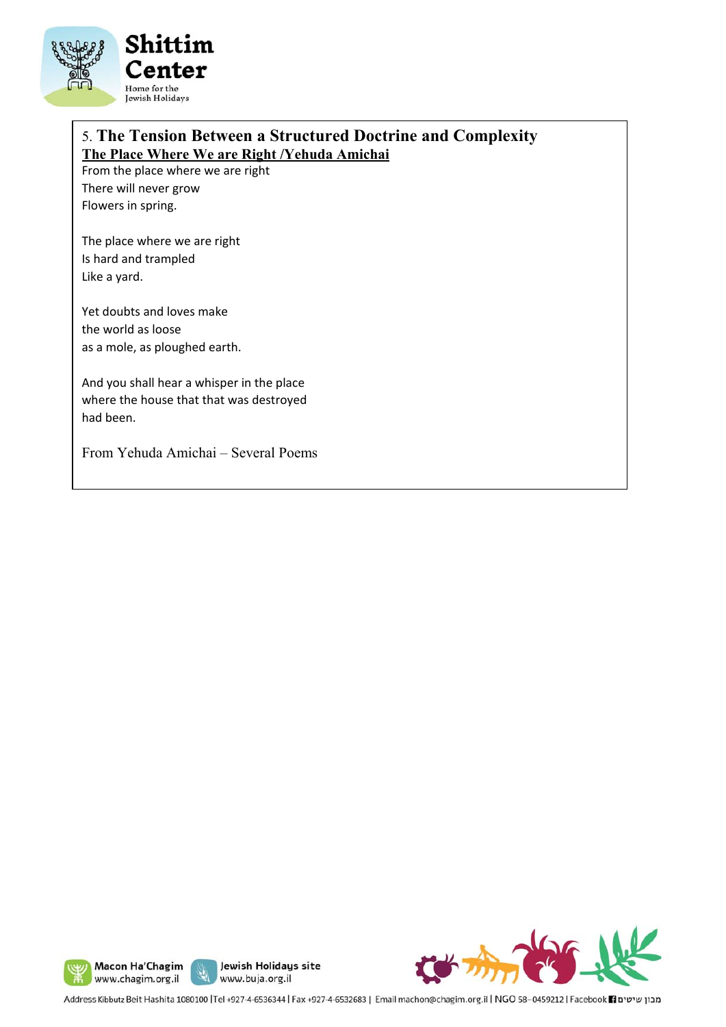

## 5. **The Tension Between a Structured Doctrine and Complexity The Place Where We are Right /Yehuda Amichai**

From the place where we are right There will never grow Flowers in spring.

The place where we are right Is hard and trampled Like a yard.

Yet doubts and loves make the world as loose as a mole, as ploughed earth.

And you shall hear a whisper in the place where the house that that was destroyed had been.

From Yehuda Amichai – Several Poems







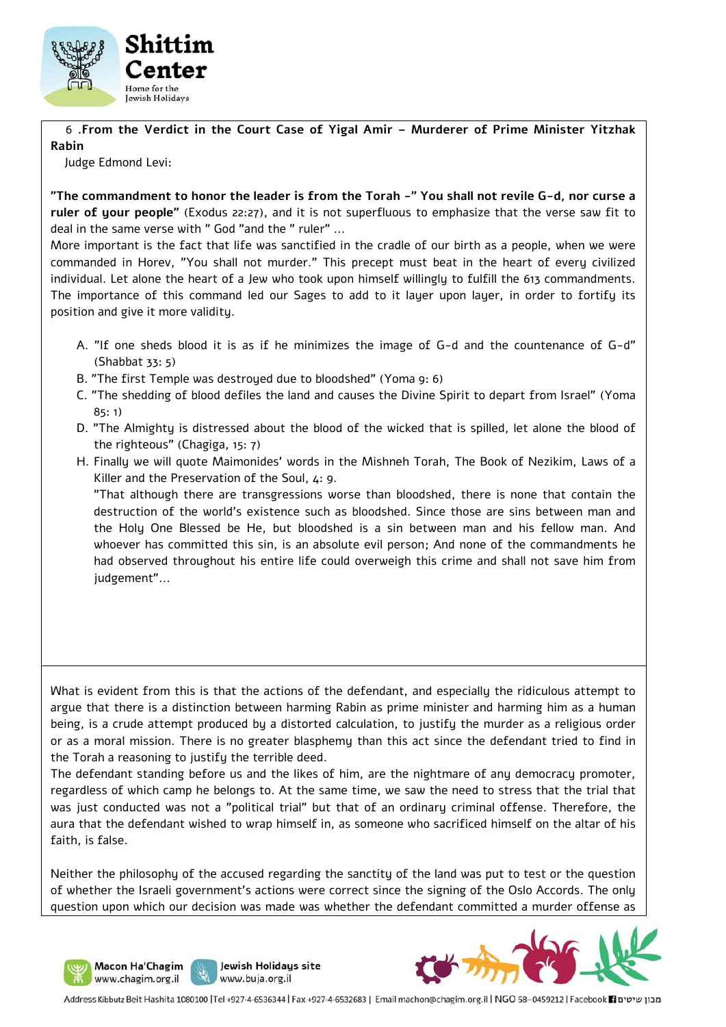

 6 **.From the Verdict in the Court Case of Yigal Amir – Murderer of Prime Minister Yitzhak Rabin** 

Judge Edmond Levi:

**"The commandment to honor the leader is from the Torah -" You shall not revile G-d, nor curse a ruler of your people"** (Exodus 22:27), and it is not superfluous to emphasize that the verse saw fit to deal in the same verse with " God "and the " ruler" ...

More important is the fact that life was sanctified in the cradle of our birth as a people, when we were commanded in Horev, "You shall not murder." This precept must beat in the heart of every civilized individual. Let alone the heart of a Jew who took upon himself willingly to fulfill the 613 commandments. The importance of this command led our Sages to add to it layer upon layer, in order to fortify its position and give it more validity.

- A. "If one sheds blood it is as if he minimizes the image of G-d and the countenance of G-d" (Shabbat 33: 5)
- B. "The first Temple was destroyed due to bloodshed" (Yoma 9: 6)
- C. "The shedding of blood defiles the land and causes the Divine Spirit to depart from Israel" (Yoma  $85 \cdot 1$
- D. "The Almighty is distressed about the blood of the wicked that is spilled, let alone the blood of the righteous" (Chagiga, 15: 7)
- H. Finally we will quote Maimonides' words in the Mishneh Torah, The Book of Nezikim, Laws of a Killer and the Preservation of the Soul, 4: 9.

 "That although there are transgressions worse than bloodshed, there is none that contain the destruction of the world's existence such as bloodshed. Since those are sins between man and the Holy One Blessed be He, but bloodshed is a sin between man and his fellow man. And whoever has committed this sin, is an absolute evil person; And none of the commandments he had observed throughout his entire life could overweigh this crime and shall not save him from judgement"...

What is evident from this is that the actions of the defendant, and especially the ridiculous attempt to argue that there is a distinction between harming Rabin as prime minister and harming him as a human being, is a crude attempt produced by a distorted calculation, to justify the murder as a religious order or as a moral mission. There is no greater blasphemy than this act since the defendant tried to find in the Torah a reasoning to justify the terrible deed.

The defendant standing before us and the likes of him, are the nightmare of any democracy promoter, regardless of which camp he belongs to. At the same time, we saw the need to stress that the trial that was just conducted was not a "political trial" but that of an ordinary criminal offense. Therefore, the aura that the defendant wished to wrap himself in, as someone who sacrificed himself on the altar of his faith, is false.

Neither the philosophy of the accused regarding the sanctity of the land was put to test or the question of whether the Israeli government's actions were correct since the signing of the Oslo Accords. The only question upon which our decision was made was whether the defendant committed a murder offense as

Jewish Holidays site

www.buja.org.il

Macon Ha'Chagim www.chagim.org.il

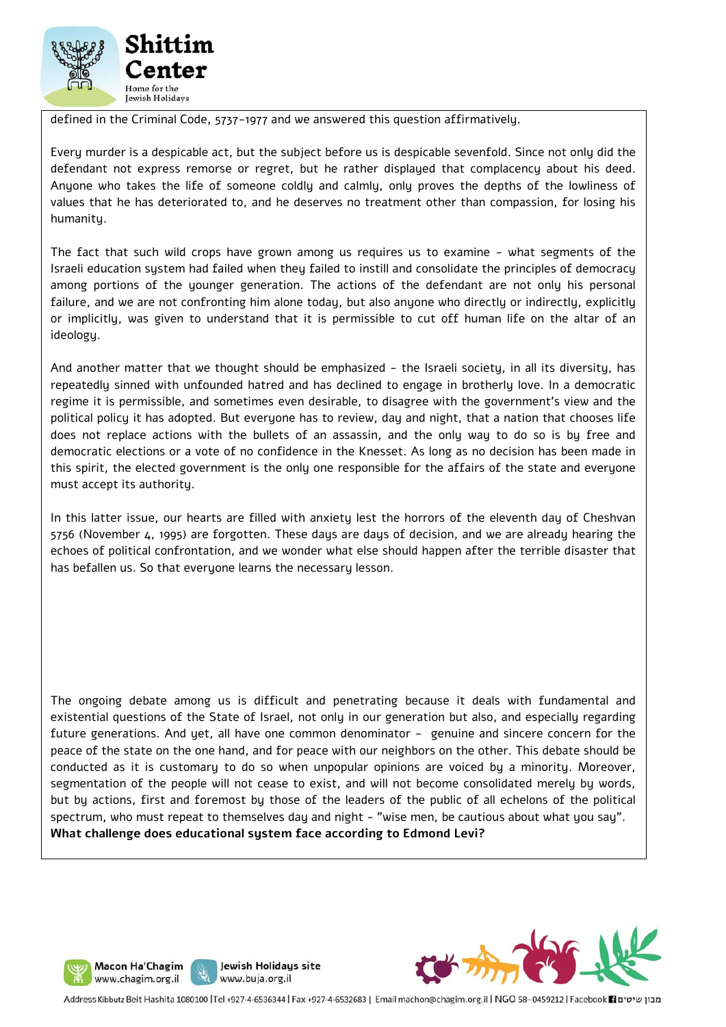

defined in the Criminal Code, 5737-1977 and we answered this question affirmatively.

Every murder is a despicable act, but the subject before us is despicable sevenfold. Since not only did the defendant not express remorse or regret, but he rather displayed that complacency about his deed. Anyone who takes the life of someone coldly and calmly, only proves the depths of the lowliness of values that he has deteriorated to, and he deserves no treatment other than compassion, for losing his humanity.

The fact that such wild crops have grown among us requires us to examine - what segments of the Israeli education system had failed when they failed to instill and consolidate the principles of democracy among portions of the younger generation. The actions of the defendant are not only his personal failure, and we are not confronting him alone today, but also anyone who directly or indirectly, explicitly or implicitly, was given to understand that it is permissible to cut off human life on the altar of an ideology.

And another matter that we thought should be emphasized - the Israeli society, in all its diversity, has repeatedly sinned with unfounded hatred and has declined to engage in brotherly love. In a democratic regime it is permissible, and sometimes even desirable, to disagree with the government's view and the political policy it has adopted. But everyone has to review, day and night, that a nation that chooses life does not replace actions with the bullets of an assassin, and the only way to do so is by free and democratic elections or a vote of no confidence in the Knesset. As long as no decision has been made in this spirit, the elected government is the only one responsible for the affairs of the state and everyone must accept its authority.

In this latter issue, our hearts are filled with anxiety lest the horrors of the eleventh day of Cheshvan 5756 (November 4, 1995) are forgotten. These days are days of decision, and we are already hearing the echoes of political confrontation, and we wonder what else should happen after the terrible disaster that has befallen us. So that everyone learns the necessary lesson.

The ongoing debate among us is difficult and penetrating because it deals with fundamental and existential questions of the State of Israel, not only in our generation but also, and especially regarding future generations. And yet, all have one common denominator - genuine and sincere concern for the peace of the state on the one hand, and for peace with our neighbors on the other. This debate should be conducted as it is customary to do so when unpopular opinions are voiced by a minority. Moreover, segmentation of the people will not cease to exist, and will not become consolidated merely by words, but by actions, first and foremost by those of the leaders of the public of all echelons of the political spectrum, who must repeat to themselves day and night - "wise men, be cautious about what you say". **What challenge does educational system face according to Edmond Levi?** 







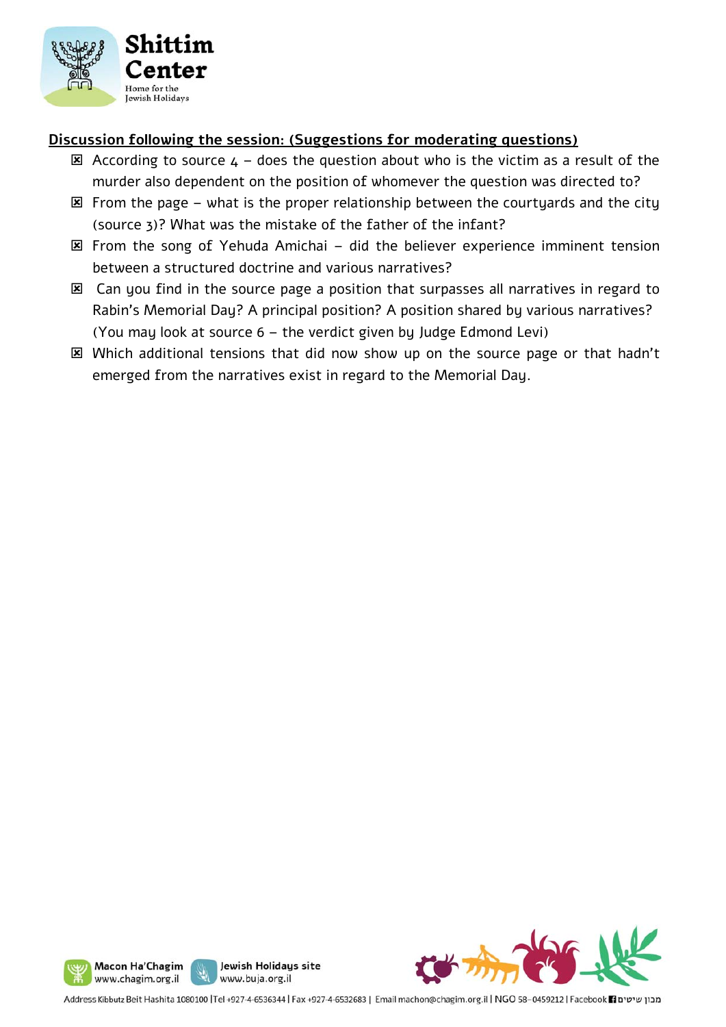

#### **Discussion following the session: (Suggestions for moderating questions)**

- $\boxtimes$  According to source  $4$  does the question about who is the victim as a result of the murder also dependent on the position of whomever the question was directed to?
- $\boxtimes$  From the page what is the proper relationship between the courtyards and the city (source 3)? What was the mistake of the father of the infant?
- $\boxtimes$  From the song of Yehuda Amichai did the believer experience imminent tension between a structured doctrine and various narratives?
- Can you find in the source page a position that surpasses all narratives in regard to Rabin's Memorial Day? A principal position? A position shared by various narratives? (You may look at source 6 – the verdict given by Judge Edmond Levi)
- Which additional tensions that did now show up on the source page or that hadn't emerged from the narratives exist in regard to the Memorial Day.





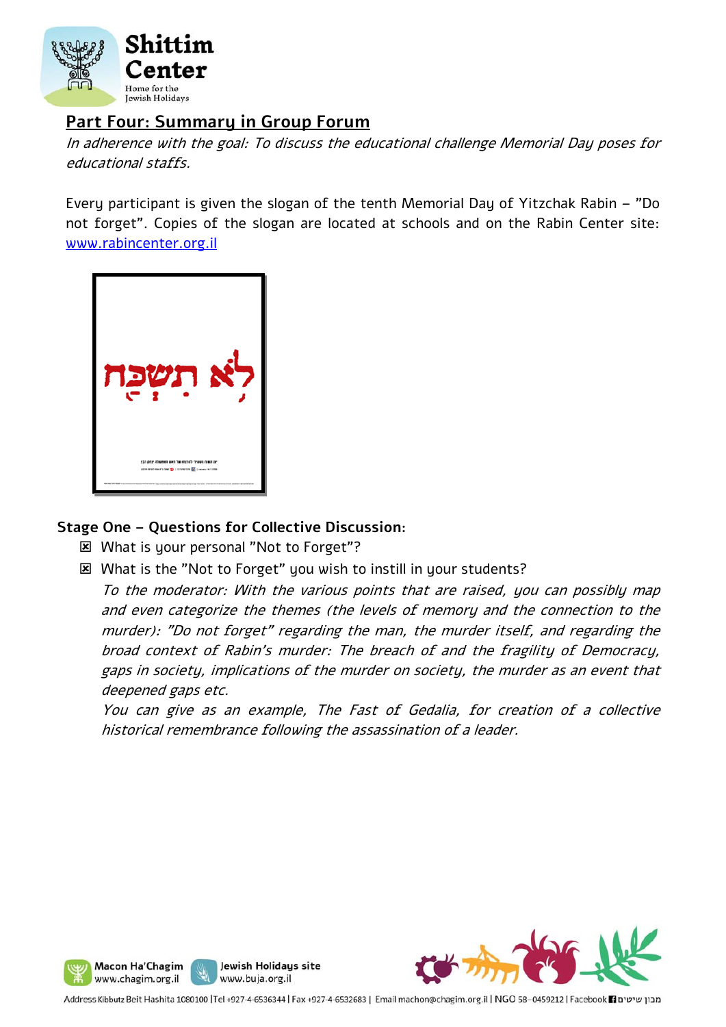

## **Part Four: Summary in Group Forum**

In adherence with the goal: To discuss the educational challenge Memorial Day poses for educational staffs.

Every participant is given the slogan of the tenth Memorial Day of Yitzchak Rabin – "Do not forget". Copies of the slogan are located at schools and on the Rabin Center site: www.rabincenter.org.il



#### **Stage One – Questions for Collective Discussion:**

What is your personal "Not to Forget"?

What is the "Not to Forget" you wish to instill in your students?

To the moderator: With the various points that are raised, you can possibly map and even categorize the themes (the levels of memory and the connection to the murder): "Do not forget" regarding the man, the murder itself, and regarding the broad context of Rabin's murder: The breach of and the fragility of Democracy, gaps in society, implications of the murder on society, the murder as an event that deepened gaps etc.

You can give as an example, The Fast of Gedalia, for creation of a collective historical remembrance following the assassination of a leader.



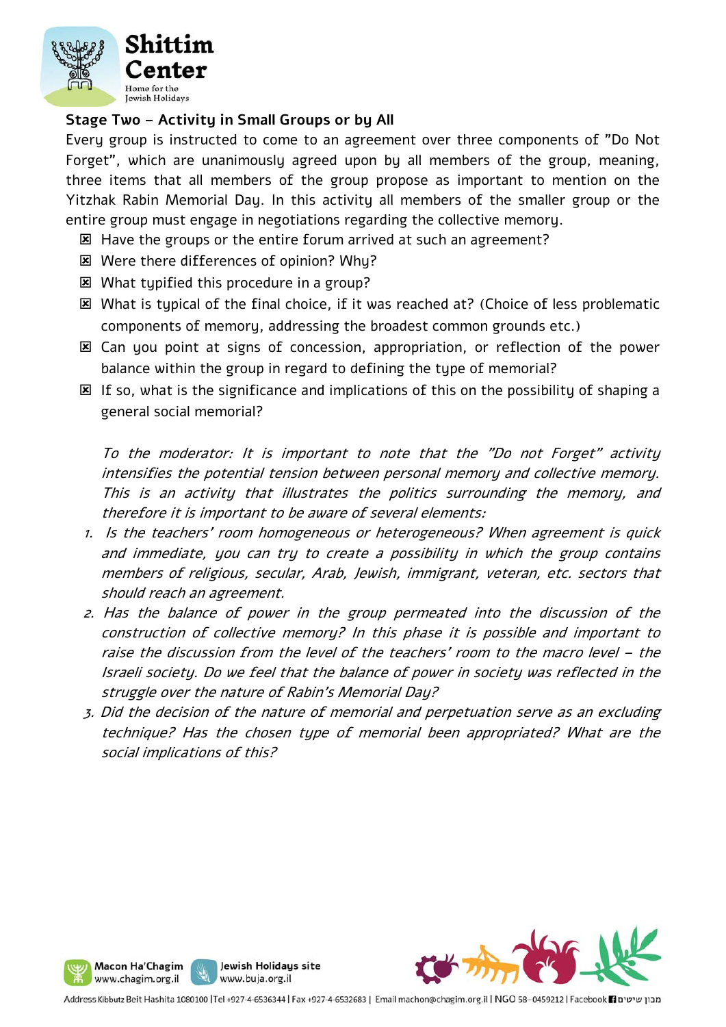

### **Stage Two – Activity in Small Groups or by All**

Every group is instructed to come to an agreement over three components of "Do Not Forget", which are unanimously agreed upon by all members of the group, meaning, three items that all members of the group propose as important to mention on the Yitzhak Rabin Memorial Day. In this activity all members of the smaller group or the entire group must engage in negotiations regarding the collective memory.

- **EX** Have the groups or the entire forum arrived at such an agreement?
- Were there differences of opinion? Why?
- What typified this procedure in a group?
- **E** What is tupical of the final choice, if it was reached at? (Choice of less problematic components of memory, addressing the broadest common grounds etc.)
- Can you point at signs of concession, appropriation, or reflection of the power balance within the group in regard to defining the type of memorial?
- **EX** If so, what is the significance and implications of this on the possibility of shaping a general social memorial?

To the moderator: It is important to note that the "Do not Forget" activity intensifies the potential tension between personal memory and collective memory. This is an activity that illustrates the politics surrounding the memory, and therefore it is important to be aware of several elements:

- 1. Is the teachers' room homogeneous or heterogeneous? When agreement is quick and immediate, you can try to create a possibility in which the group contains members of religious, secular, Arab, Jewish, immigrant, veteran, etc. sectors that should reach an agreement.
- 2. Has the balance of power in the group permeated into the discussion of the construction of collective memory? In this phase it is possible and important to raise the discussion from the level of the teachers' room to the macro level – the Israeli society. Do we feel that the balance of power in society was reflected in the struggle over the nature of Rabin's Memorial Day?
- 3. Did the decision of the nature of memorial and perpetuation serve as an excluding technique? Has the chosen type of memorial been appropriated? What are the social implications of this?



Jewish Holidays site

www.buja.org.il

Macon Ha'Chagim www.chagim.org.il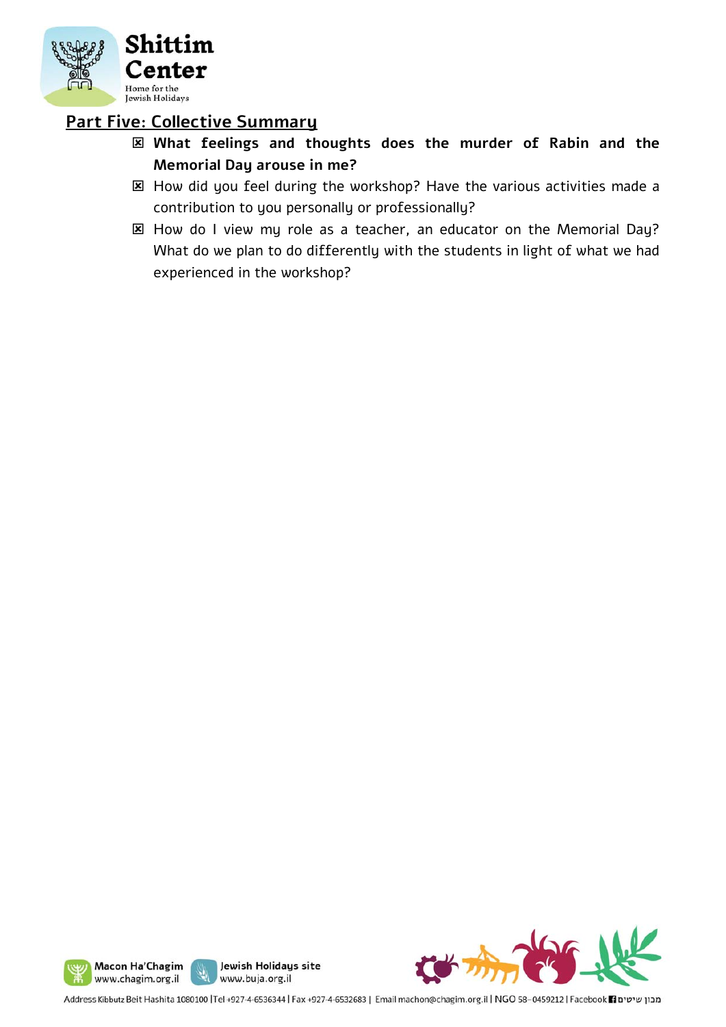

## **Part Five: Collective Summary**

- **What feelings and thoughts does the murder of Rabin and the Memorial Day arouse in me?**
- How did you feel during the workshop? Have the various activities made a contribution to you personally or professionally?
- **E** How do I view my role as a teacher, an educator on the Memorial Day? What do we plan to do differently with the students in light of what we had experienced in the workshop?





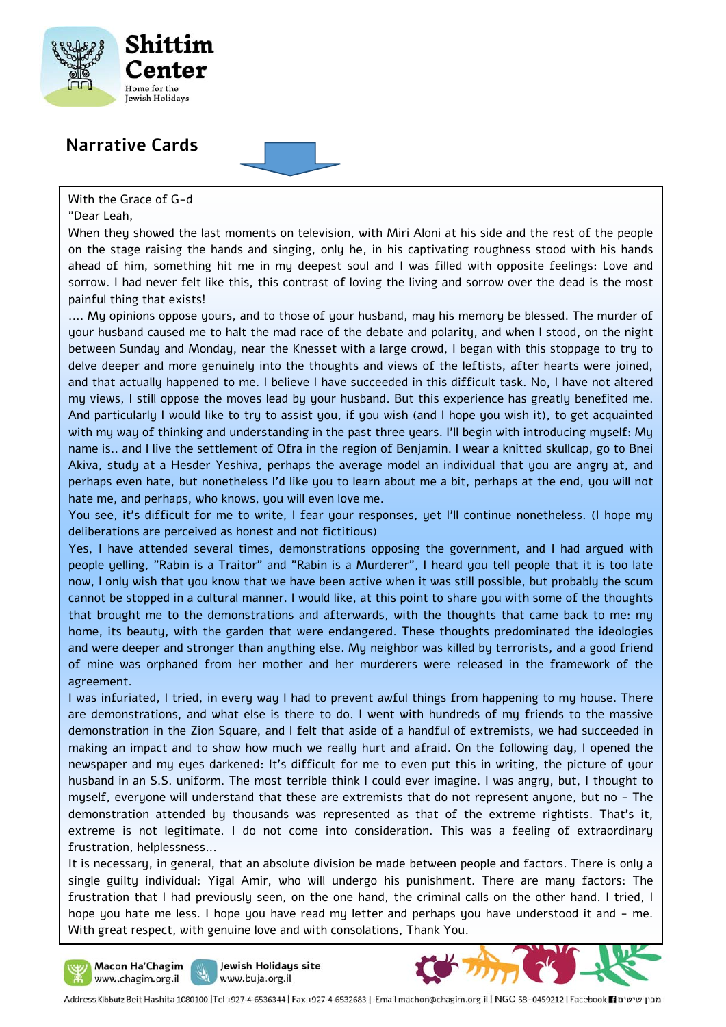

## **Narrative Cards**

With the Grace of G-d

"Dear Leah,

When they showed the last moments on television, with Miri Aloni at his side and the rest of the people on the stage raising the hands and singing, only he, in his captivating roughness stood with his hands ahead of him, something hit me in my deepest soul and I was filled with opposite feelings: Love and sorrow. I had never felt like this, this contrast of loving the living and sorrow over the dead is the most painful thing that exists!

.... My opinions oppose yours, and to those of your husband, may his memory be blessed. The murder of your husband caused me to halt the mad race of the debate and polarity, and when I stood, on the night between Sunday and Monday, near the Knesset with a large crowd, I began with this stoppage to try to delve deeper and more genuinely into the thoughts and views of the leftists, after hearts were joined, and that actually happened to me. I believe I have succeeded in this difficult task. No, I have not altered my views, I still oppose the moves lead by your husband. But this experience has greatly benefited me. And particularly I would like to try to assist you, if you wish (and I hope you wish it), to get acquainted with my way of thinking and understanding in the past three years. I'll begin with introducing myself: My name is.. and I live the settlement of Ofra in the region of Benjamin. I wear a knitted skullcap, go to Bnei Akiva, study at a Hesder Yeshiva, perhaps the average model an individual that you are angry at, and perhaps even hate, but nonetheless I'd like you to learn about me a bit, perhaps at the end, you will not hate me, and perhaps, who knows, you will even love me.

You see, it's difficult for me to write, I fear your responses, yet I'll continue nonetheless. (I hope my deliberations are perceived as honest and not fictitious)

Yes, I have attended several times, demonstrations opposing the government, and I had argued with people yelling, "Rabin is a Traitor" and "Rabin is a Murderer", I heard you tell people that it is too late now, I only wish that you know that we have been active when it was still possible, but probably the scum cannot be stopped in a cultural manner. I would like, at this point to share you with some of the thoughts that brought me to the demonstrations and afterwards, with the thoughts that came back to me: my home, its beauty, with the garden that were endangered. These thoughts predominated the ideologies and were deeper and stronger than anything else. My neighbor was killed by terrorists, and a good friend of mine was orphaned from her mother and her murderers were released in the framework of the agreement.

I was infuriated, I tried, in every way I had to prevent awful things from happening to my house. There are demonstrations, and what else is there to do. I went with hundreds of my friends to the massive demonstration in the Zion Square, and I felt that aside of a handful of extremists, we had succeeded in making an impact and to show how much we really hurt and afraid. On the following day, I opened the newspaper and my eyes darkened: It's difficult for me to even put this in writing, the picture of your husband in an S.S. uniform. The most terrible think I could ever imagine. I was angry, but, I thought to myself, everyone will understand that these are extremists that do not represent anyone, but no - The demonstration attended by thousands was represented as that of the extreme rightists. That's it, extreme is not legitimate. I do not come into consideration. This was a feeling of extraordinary frustration, helplessness...

hope you hate me less. I hope you have read my letter and perhaps you have understood it and – me.<br>With great respect, with genuine love and with consolations. Thank You It is necessary, in general, that an absolute division be made between people and factors. There is only a single guilty individual: Yigal Amir, who will undergo his punishment. There are many factors: The frustration that I had previously seen, on the one hand, the criminal calls on the other hand. I tried, I With great respect, with genuine love and with consolations, Thank You.



Jewish Holidays site www.buja.org.il

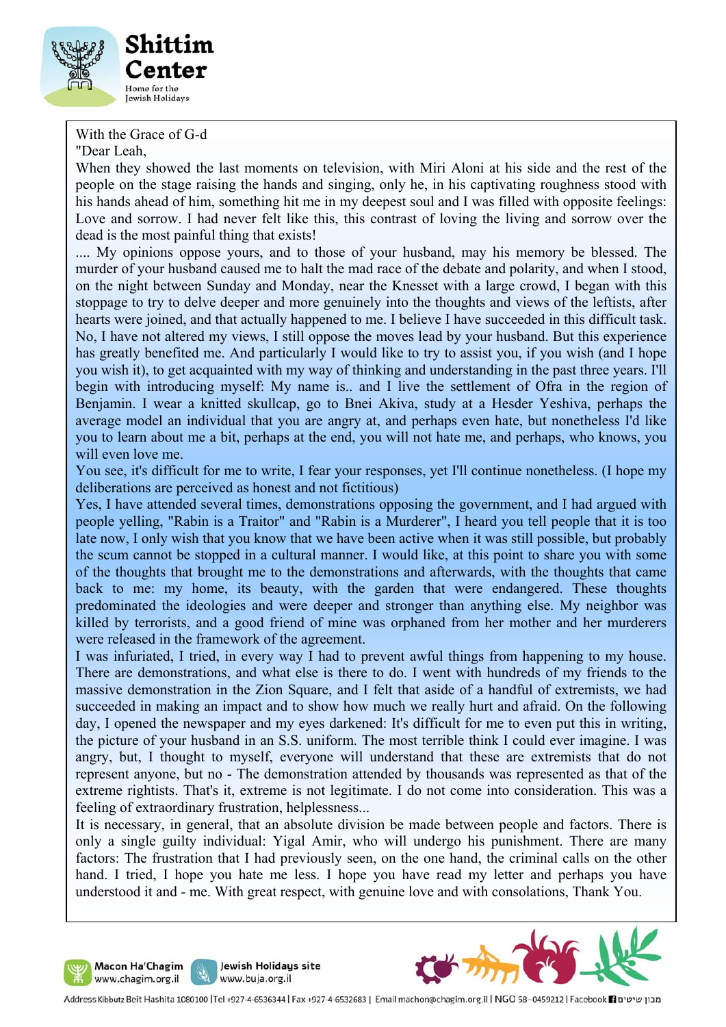

With the Grace of G-d

"Dear Leah,

When they showed the last moments on television, with Miri Aloni at his side and the rest of the people on the stage raising the hands and singing, only he, in his captivating roughness stood with his hands ahead of him, something hit me in my deepest soul and I was filled with opposite feelings: Love and sorrow. I had never felt like this, this contrast of loving the living and sorrow over the dead is the most painful thing that exists!

.... My opinions oppose yours, and to those of your husband, may his memory be blessed. The murder of your husband caused me to halt the mad race of the debate and polarity, and when I stood, on the night between Sunday and Monday, near the Knesset with a large crowd, I began with this stoppage to try to delve deeper and more genuinely into the thoughts and views of the leftists, after hearts were joined, and that actually happened to me. I believe I have succeeded in this difficult task. No, I have not altered my views, I still oppose the moves lead by your husband. But this experience has greatly benefited me. And particularly I would like to try to assist you, if you wish (and I hope you wish it), to get acquainted with my way of thinking and understanding in the past three years. I'll begin with introducing myself: My name is.. and I live the settlement of Ofra in the region of Benjamin. I wear a knitted skullcap, go to Bnei Akiva, study at a Hesder Yeshiva, perhaps the average model an individual that you are angry at, and perhaps even hate, but nonetheless I'd like you to learn about me a bit, perhaps at the end, you will not hate me, and perhaps, who knows, you will even love me.

You see, it's difficult for me to write, I fear your responses, yet I'll continue nonetheless. (I hope my deliberations are perceived as honest and not fictitious)

Yes, I have attended several times, demonstrations opposing the government, and I had argued with people yelling, "Rabin is a Traitor" and "Rabin is a Murderer", I heard you tell people that it is too late now, I only wish that you know that we have been active when it was still possible, but probably the scum cannot be stopped in a cultural manner. I would like, at this point to share you with some of the thoughts that brought me to the demonstrations and afterwards, with the thoughts that came back to me: my home, its beauty, with the garden that were endangered. These thoughts predominated the ideologies and were deeper and stronger than anything else. My neighbor was killed by terrorists, and a good friend of mine was orphaned from her mother and her murderers were released in the framework of the agreement.

I was infuriated, I tried, in every way I had to prevent awful things from happening to my house. There are demonstrations, and what else is there to do. I went with hundreds of my friends to the massive demonstration in the Zion Square, and I felt that aside of a handful of extremists, we had succeeded in making an impact and to show how much we really hurt and afraid. On the following day, I opened the newspaper and my eyes darkened: It's difficult for me to even put this in writing, the picture of your husband in an S.S. uniform. The most terrible think I could ever imagine. I was angry, but, I thought to myself, everyone will understand that these are extremists that do not represent anyone, but no - The demonstration attended by thousands was represented as that of the extreme rightists. That's it, extreme is not legitimate. I do not come into consideration. This was a feeling of extraordinary frustration, helplessness...

It is necessary, in general, that an absolute division be made between people and factors. There is only a single guilty individual: Yigal Amir, who will undergo his punishment. There are many factors: The frustration that I had previously seen, on the one hand, the criminal calls on the other hand. I tried, I hope you hate me less. I hope you have read my letter and perhaps you have understood it and - me. With great respect, with genuine love and with consolations, Thank You.





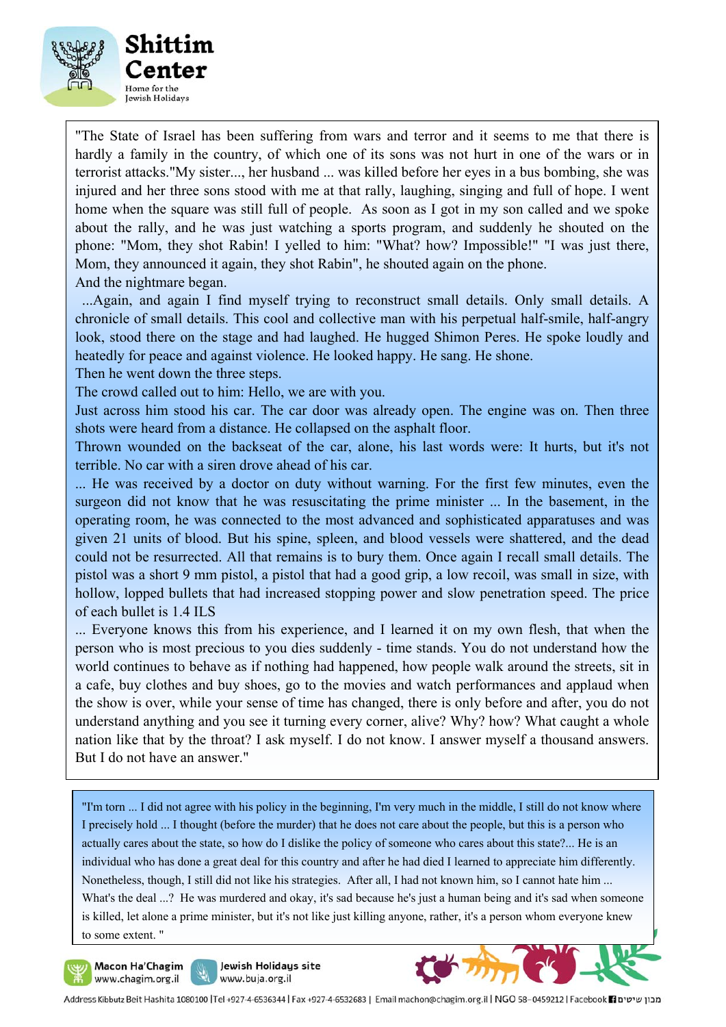

"The State of Israel has been suffering from wars and terror and it seems to me that there is hardly a family in the country, of which one of its sons was not hurt in one of the wars or in terrorist attacks."My sister..., her husband ... was killed before her eyes in a bus bombing, she was injured and her three sons stood with me at that rally, laughing, singing and full of hope. I went home when the square was still full of people. As soon as I got in my son called and we spoke about the rally, and he was just watching a sports program, and suddenly he shouted on the phone: "Mom, they shot Rabin! I yelled to him: "What? how? Impossible!" "I was just there, Mom, they announced it again, they shot Rabin", he shouted again on the phone. And the nightmare began.

 ...Again, and again I find myself trying to reconstruct small details. Only small details. A chronicle of small details. This cool and collective man with his perpetual half-smile, half-angry look, stood there on the stage and had laughed. He hugged Shimon Peres. He spoke loudly and heatedly for peace and against violence. He looked happy. He sang. He shone.

Then he went down the three steps.

The crowd called out to him: Hello, we are with you.

Just across him stood his car. The car door was already open. The engine was on. Then three shots were heard from a distance. He collapsed on the asphalt floor.

Thrown wounded on the backseat of the car, alone, his last words were: It hurts, but it's not terrible. No car with a siren drove ahead of his car.

... He was received by a doctor on duty without warning. For the first few minutes, even the surgeon did not know that he was resuscitating the prime minister ... In the basement, in the operating room, he was connected to the most advanced and sophisticated apparatuses and was given 21 units of blood. But his spine, spleen, and blood vessels were shattered, and the dead could not be resurrected. All that remains is to bury them. Once again I recall small details. The pistol was a short 9 mm pistol, a pistol that had a good grip, a low recoil, was small in size, with hollow, lopped bullets that had increased stopping power and slow penetration speed. The price of each bullet is 1.4 ILS

... Everyone knows this from his experience, and I learned it on my own flesh, that when the person who is most precious to you dies suddenly - time stands. You do not understand how the world continues to behave as if nothing had happened, how people walk around the streets, sit in a cafe, buy clothes and buy shoes, go to the movies and watch performances and applaud when the show is over, while your sense of time has changed, there is only before and after, you do not understand anything and you see it turning every corner, alive? Why? how? What caught a whole nation like that by the throat? I ask myself. I do not know. I answer myself a thousand answers. But I do not have an answer."

"I'm torn ... I did not agree with his policy in the beginning, I'm very much in the middle, I still do not know where I precisely hold ... I thought (before the murder) that he does not care about the people, but this is a person who actually cares about the state, so how do I dislike the policy of someone who cares about this state?... He is an individual who has done a great deal for this country and after he had died I learned to appreciate him differently. Nonetheless, though, I still did not like his strategies. After all, I had not known him, so I cannot hate him ... What's the deal ...? He was murdered and okay, it's sad because he's just a human being and it's sad when someone is killed, let alone a prime minister, but it's not like just killing anyone, rather, it's a person whom everyone knew to some extent. "



Jewish Holidays site www.buja.org.il



l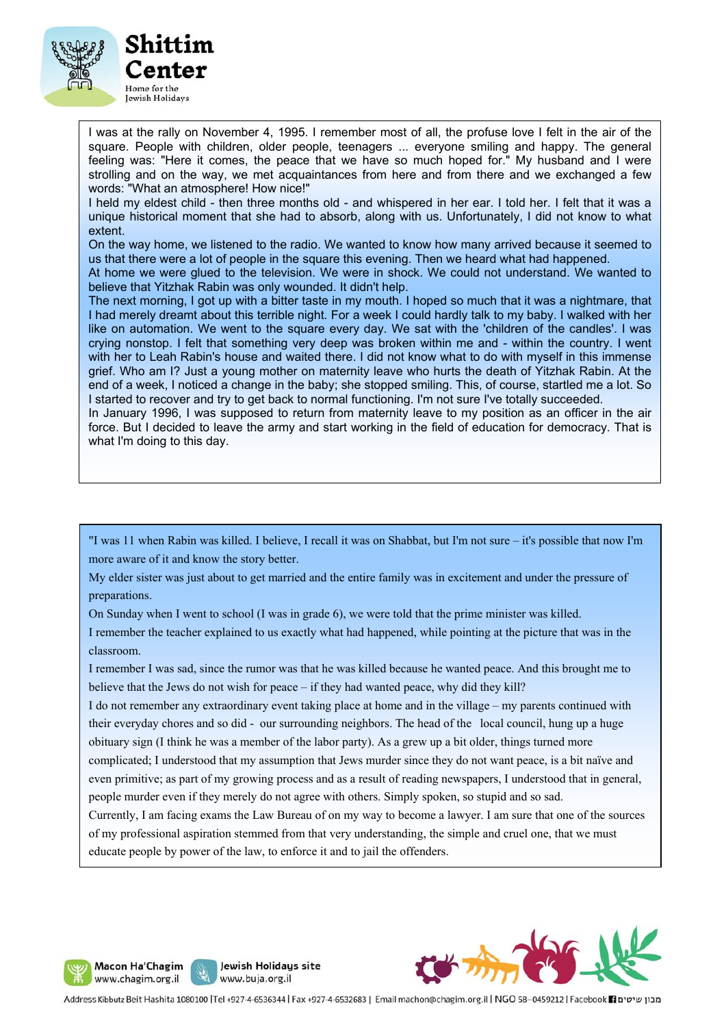

I was at the rally on November 4, 1995. I remember most of all, the profuse love I felt in the air of the square. People with children, older people, teenagers ... everyone smiling and happy. The general feeling was: "Here it comes, the peace that we have so much hoped for." My husband and I were strolling and on the way, we met acquaintances from here and from there and we exchanged a few words: "What an atmosphere! How nice!"

I held my eldest child - then three months old - and whispered in her ear. I told her. I felt that it was a unique historical moment that she had to absorb, along with us. Unfortunately, I did not know to what extent.

On the way home, we listened to the radio. We wanted to know how many arrived because it seemed to us that there were a lot of people in the square this evening. Then we heard what had happened.

At home we were glued to the television. We were in shock. We could not understand. We wanted to believe that Yitzhak Rabin was only wounded. It didn't help.

The next morning, I got up with a bitter taste in my mouth. I hoped so much that it was a nightmare, that I had merely dreamt about this terrible night. For a week I could hardly talk to my baby. I walked with her like on automation. We went to the square every day. We sat with the 'children of the candles'. I was crying nonstop. I felt that something very deep was broken within me and - within the country. I went with her to Leah Rabin's house and waited there. I did not know what to do with myself in this immense grief. Who am I? Just a young mother on maternity leave who hurts the death of Yitzhak Rabin. At the end of a week, I noticed a change in the baby; she stopped smiling. This, of course, startled me a lot. So I started to recover and try to get back to normal functioning. I'm not sure I've totally succeeded.

In January 1996, I was supposed to return from maternity leave to my position as an officer in the air force. But I decided to leave the army and start working in the field of education for democracy. That is what I'm doing to this day.

"I was 11 when Rabin was killed. I believe, I recall it was on Shabbat, but I'm not sure – it's possible that now I'm more aware of it and know the story better.

My elder sister was just about to get married and the entire family was in excitement and under the pressure of preparations.

On Sunday when I went to school (I was in grade 6), we were told that the prime minister was killed.

I remember the teacher explained to us exactly what had happened, while pointing at the picture that was in the classroom.

I remember I was sad, since the rumor was that he was killed because he wanted peace. And this brought me to believe that the Jews do not wish for peace – if they had wanted peace, why did they kill?

I do not remember any extraordinary event taking place at home and in the village – my parents continued with their everyday chores and so did - our surrounding neighbors. The head of the local council, hung up a huge obituary sign (I think he was a member of the labor party). As a grew up a bit older, things turned more

complicated; I understood that my assumption that Jews murder since they do not want peace, is a bit naïve and even primitive; as part of my growing process and as a result of reading newspapers, I understood that in general, people murder even if they merely do not agree with others. Simply spoken, so stupid and so sad.

Currently, I am facing exams the Law Bureau of on my way to become a lawyer. I am sure that one of the sources of my professional aspiration stemmed from that very understanding, the simple and cruel one, that we must educate people by power of the law, to enforce it and to jail the offenders.





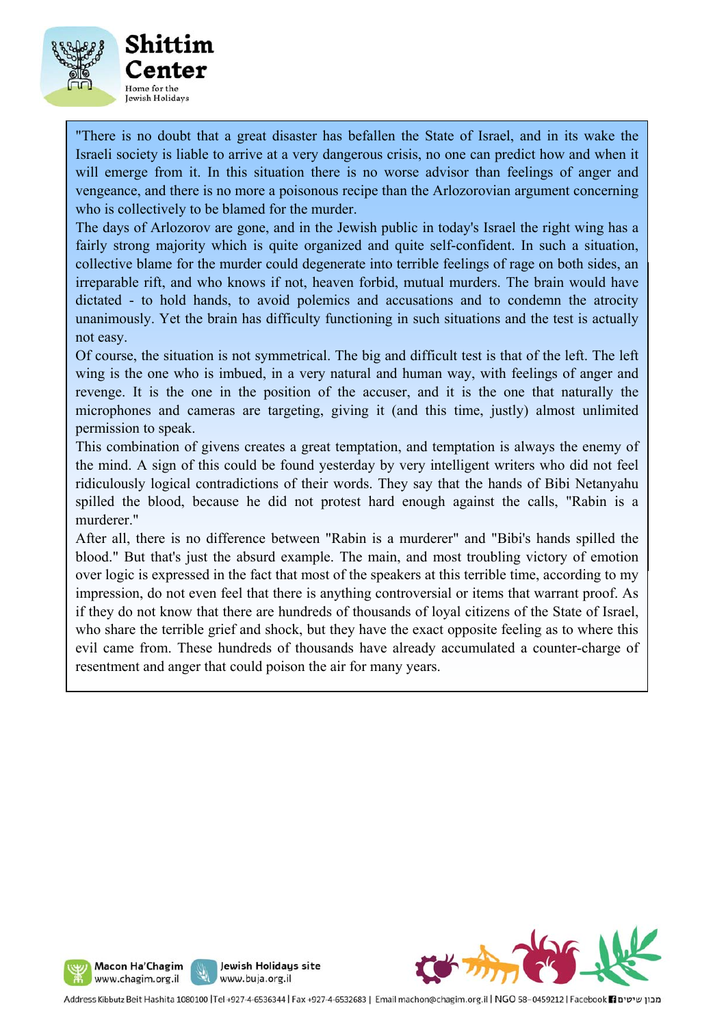

"There is no doubt that a great disaster has befallen the State of Israel, and in its wake the Israeli society is liable to arrive at a very dangerous crisis, no one can predict how and when it will emerge from it. In this situation there is no worse advisor than feelings of anger and vengeance, and there is no more a poisonous recipe than the Arlozorovian argument concerning who is collectively to be blamed for the murder.

irreparable rift, and who knows if not, heaven forbid, mutual murders. The brain would have dictated - to hold hands, to avoid polemics and accusations and to condemn the atrocity unanimously. Yet the brain has difficulty functioning in such situations and the test is actually burial ceremonies. A delegation of students from our students from our school and the student council also the<br>The student council also the student council also the student council also the student council also the studen The days of Arlozorov are gone, and in the Jewish public in today's Israel the right wing has a fairly strong majority which is quite organized and quite self-confident. In such a situation, collective blame for the murder could degenerate into terrible feelings of rage on both sides, an not easy.

Of course, the situation is not symmetrical. The big and difficult test is that of the left. The left wing is the one who is imbued, in a very natural and human way, with feelings of anger and revenge. It is the one in the position of the accuser, and it is the one that naturally the microphones and cameras are targeting, giving it (and this time, justly) almost unlimited permission to speak.

This combination of givens creates a great temptation, and temptation is always the enemy of the mind. A sign of this could be found yesterday by very intelligent writers who did not feel ridiculously logical contradictions of their words. They say that the hands of Bibi Netanyahu spilled the blood, because he did not protest hard enough against the calls, "Rabin is a also wrote essays on the subject and expressed our thoughts and reflections. On behalf our thoughts and reflections. On behalf our the subject and reflections. On behalf of all the subjections. On behalf our the subject of murderer."

After all, there is no difference between "Rabin is a murderer" and "Bibi's hands spilled the blood." But that's just the absurd example. The main, and most troubling victory of emotion over logic is expressed in the fact that most of the speakers at this terrible time, according to my impression, do not even feel that there is anything controversial or items that warrant proof. As if they do not know that there are hundreds of thousands of loyal citizens of the State of Israel, who share the terrible grief and shock, but they have the exact opposite feeling as to where this evil came from. These hundreds of thousands have already accumulated a counter-charge of resentment and anger that could poison the air for many years.







Jewish Holidays site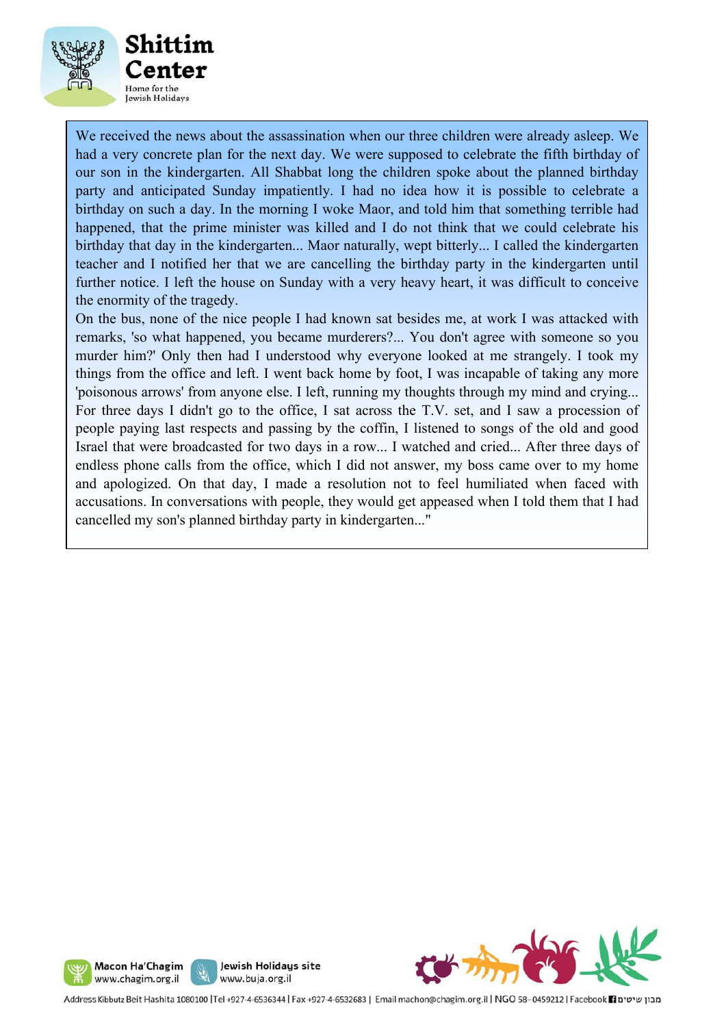

We received the news about the assassination when our three children were already asleep. We had a very concrete plan for the next day. We were supposed to celebrate the fifth birthday of our son in the kindergarten. All Shabbat long the children spoke about the planned birthday party and anticipated Sunday impatiently. I had no idea how it is possible to celebrate a birthday on such a day. In the morning I woke Maor, and told him that something terrible had happened, that the prime minister was killed and I do not think that we could celebrate his birthday that day in the kindergarten... Maor naturally, wept bitterly... I called the kindergarten teacher and I notified her that we are cancelling the birthday party in the kindergarten until further notice. I left the house on Sunday with a very heavy heart, it was difficult to conceive the enormity of the tragedy.

On the bus, none of the nice people I had known sat besides me, at work I was attacked with remarks, 'so what happened, you became murderers?... You don't agree with someone so you murder him?' Only then had I understood why everyone looked at me strangely. I took my things from the office and left. I went back home by foot, I was incapable of taking any more 'poisonous arrows' from anyone else. I left, running my thoughts through my mind and crying... For three days I didn't go to the office, I sat across the T.V. set, and I saw a procession of people paying last respects and passing by the coffin, I listened to songs of the old and good Israel that were broadcasted for two days in a row... I watched and cried... After three days of endless phone calls from the office, which I did not answer, my boss came over to my home and apologized. On that day, I made a resolution not to feel humiliated when faced with accusations. In conversations with people, they would get appeased when I told them that I had cancelled my son's planned birthday party in kindergarten..."





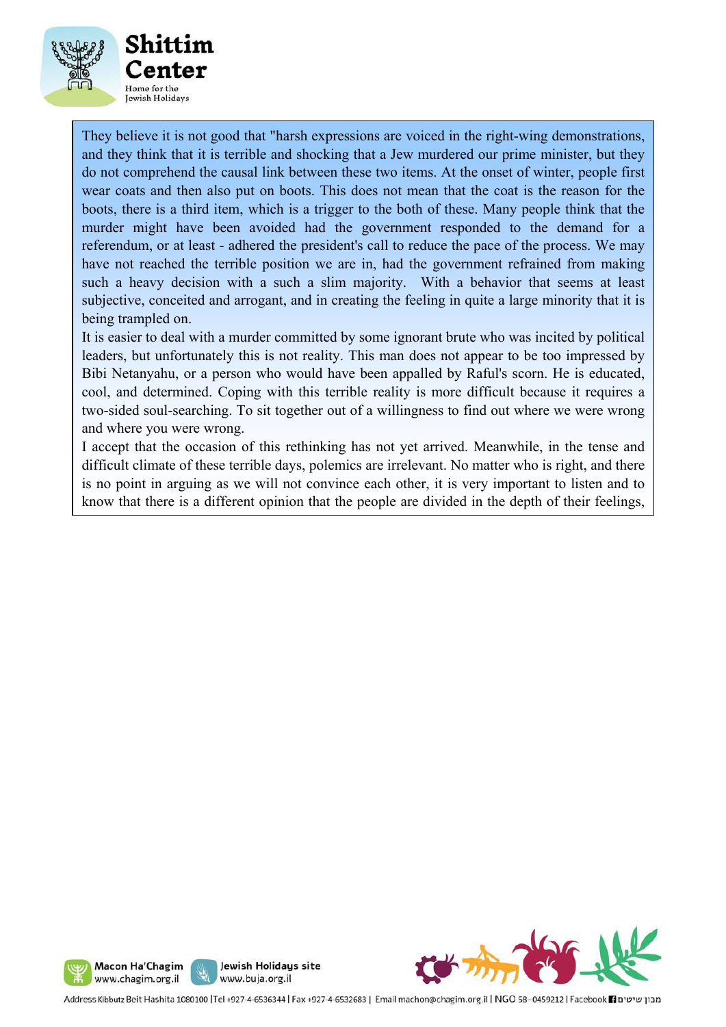

They believe it is not good that "harsh expressions are voiced in the right-wing demonstrations, and they think that it is terrible and shocking that a Jew murdered our prime minister, but they do not comprehend the causal link between these two items. At the onset of winter, people first wear coats and then also put on boots. This does not mean that the coat is the reason for the boots, there is a third item, which is a trigger to the both of these. Many people think that the murder might have been avoided had the government responded to the demand for a referendum, or at least - adhered the president's call to reduce the pace of the process. We may have not reached the terrible position we are in, had the government refrained from making such a heavy decision with a such a slim majority. With a behavior that seems at least subjective, conceited and arrogant, and in creating the feeling in quite a large minority that it is being trampled on.

It is easier to deal with a murder committed by some ignorant brute who was incited by political leaders, but unfortunately this is not reality. This man does not appear to be too impressed by Bibi Netanyahu, or a person who would have been appalled by Raful's scorn. He is educated, cool, and determined. Coping with this terrible reality is more difficult because it requires a two-sided soul-searching. To sit together out of a willingness to find out where we were wrong and where you were wrong.

I accept that the occasion of this rethinking has not yet arrived. Meanwhile, in the tense and difficult climate of these terrible days, polemics are irrelevant. No matter who is right, and there is no point in arguing as we will not convince each other, it is very important to listen and to know that there is a different opinion that the people are divided in the depth of their feelings,





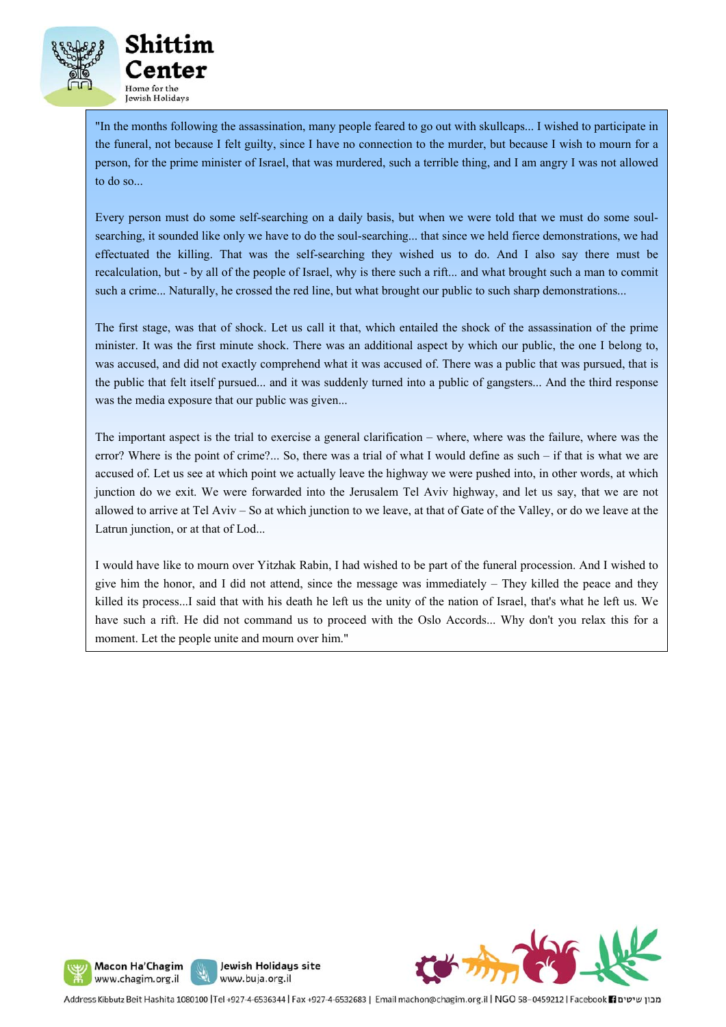

"In the months following the assassination, many people feared to go out with skullcaps... I wished to participate in the funeral, not because I felt guilty, since I have no connection to the murder, but because I wish to mourn for a person, for the prime minister of Israel, that was murdered, such a terrible thing, and I am angry I was not allowed to do so...

Every person must do some self-searching on a daily basis, but when we were told that we must do some soulsearching, it sounded like only we have to do the soul-searching... that since we held fierce demonstrations, we had effectuated the killing. That was the self-searching they wished us to do. And I also say there must be recalculation, but - by all of the people of Israel, why is there such a rift... and what brought such a man to commit such a crime... Naturally, he crossed the red line, but what brought our public to such sharp demonstrations...

 was accused, and did not exactly comprehend what it was accused of. There was a public that was pursued, that is The first stage, was that of shock. Let us call it that, which entailed the shock of the assassination of the prime minister. It was the first minute shock. There was an additional aspect by which our public, the one I belong to, the public that felt itself pursued... and it was suddenly turned into a public of gangsters... And the third response was the media exposure that our public was given...

The important aspect is the trial to exercise a general clarification – where, where was the failure, where was the error? Where is the point of crime?... So, there was a trial of what I would define as such – if that is what we are accused of. Let us see at which point we actually leave the highway we were pushed into, in other words, at which junction do we exit. We were forwarded into the Jerusalem Tel Aviv highway, and let us say, that we are not allowed to arrive at Tel Aviv – So at which junction to we leave, at that of Gate of the Valley, or do we leave at the Latrun junction, or at that of Lod...

I would have like to mourn over Yitzhak Rabin, I had wished to be part of the funeral procession. And I wished to give him the honor, and I did not attend, since the message was immediately – They killed the peace and they killed its process...I said that with his death he left us the unity of the nation of Israel, that's what he left us. We have such a rift. He did not command us to proceed with the Oslo Accords... Why don't you relax this for a moment. Let the people unite and mourn over him."







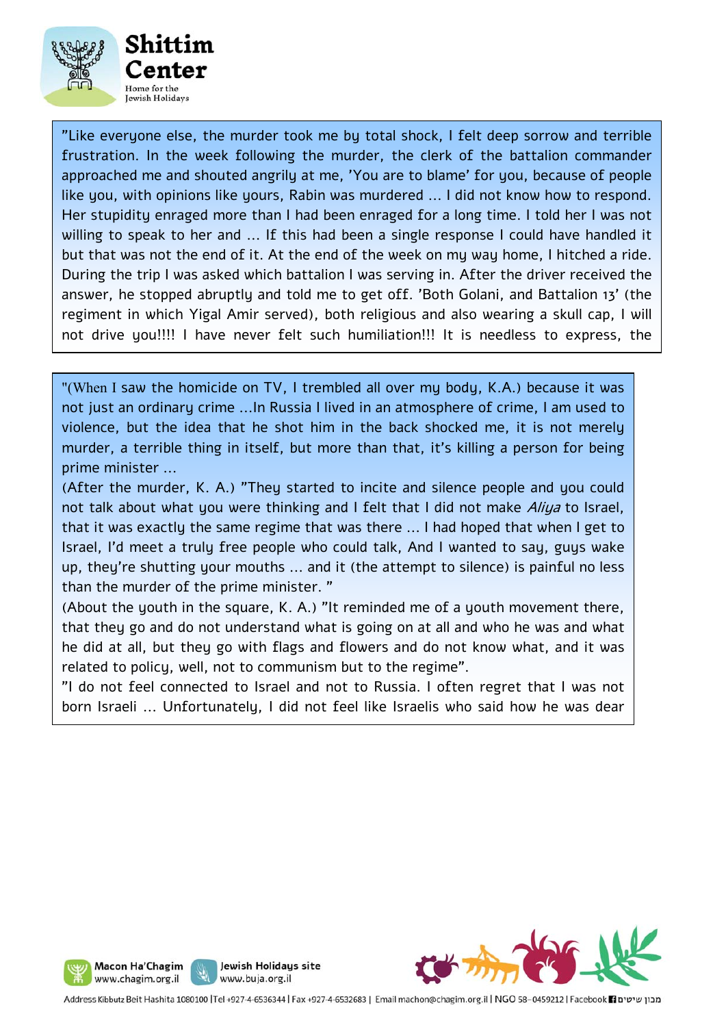

"Like everyone else, the murder took me by total shock, I felt deep sorrow and terrible frustration. In the week following the murder, the clerk of the battalion commander approached me and shouted angrily at me, 'You are to blame' for you, because of people like you, with opinions like yours, Rabin was murdered ... I did not know how to respond. Her stupidity enraged more than I had been enraged for a long time. I told her I was not willing to speak to her and ... If this had been a single response I could have handled it but that was not the end of it. At the end of the week on my way home, I hitched a ride. During the trip I was asked which battalion I was serving in. After the driver received the answer, he stopped abruptly and told me to get off. 'Both Golani, and Battalion 13' (the regiment in which Yigal Amir served), both religious and also wearing a skull cap, I will not drive you!!!! I have never felt such humiliation!!! It is needless to express, the

"(When I saw the homicide on TV, I trembled all over my body, K.A.) because it was not just an ordinary crime ...In Russia I lived in an atmosphere of crime, I am used to violence, but the idea that he shot him in the back shocked me, it is not merely murder, a terrible thing in itself, but more than that, it's killing a person for being prime minister ...

(After the murder, K. A.) "They started to incite and silence people and you could not talk about what you were thinking and I felt that I did not make *Aliya* to Israel, that it was exactly the same regime that was there ... I had hoped that when I get to Israel, I'd meet a truly free people who could talk, And I wanted to say, guys wake up, they're shutting your mouths ... and it (the attempt to silence) is painful no less than the murder of the prime minister. "

(About the youth in the square, K. A.) "It reminded me of a youth movement there, that they go and do not understand what is going on at all and who he was and what he did at all, but they go with flags and flowers and do not know what, and it was related to policy, well, not to communism but to the regime".

"I do not feel connected to Israel and not to Russia. I often regret that I was not born Israeli ... Unfortunately, I did not feel like Israelis who said how he was dear





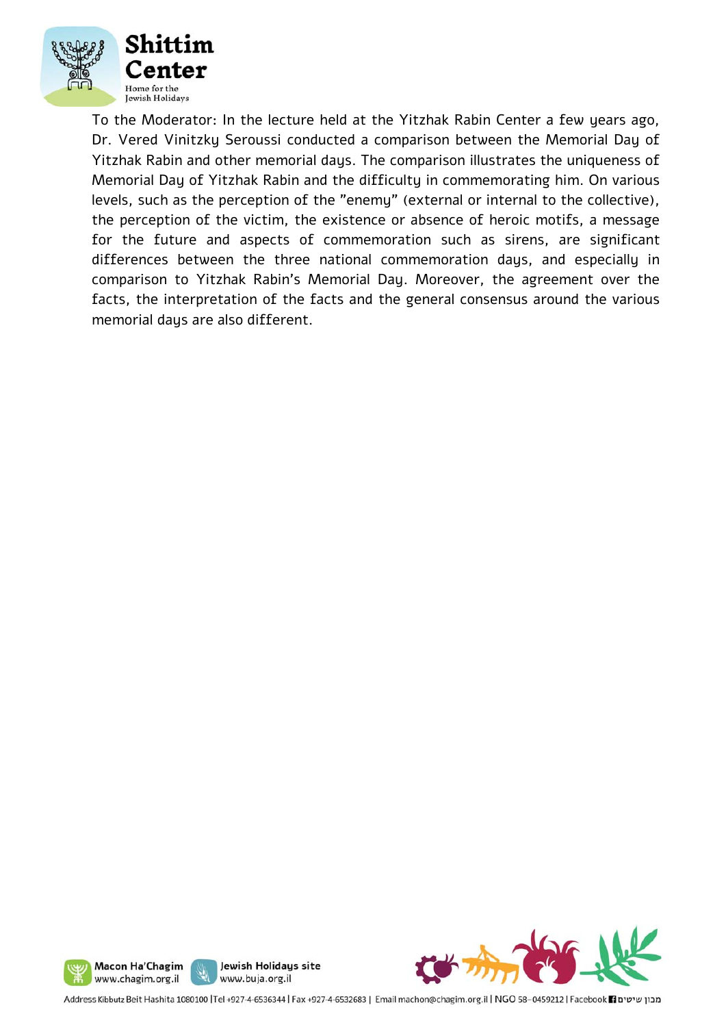

To the Moderator: In the lecture held at the Yitzhak Rabin Center a few years ago, Dr. Vered Vinitzky Seroussi conducted a comparison between the Memorial Day of Yitzhak Rabin and other memorial days. The comparison illustrates the uniqueness of Memorial Day of Yitzhak Rabin and the difficulty in commemorating him. On various levels, such as the perception of the "enemy" (external or internal to the collective), the perception of the victim, the existence or absence of heroic motifs, a message for the future and aspects of commemoration such as sirens, are significant differences between the three national commemoration days, and especially in comparison to Yitzhak Rabin's Memorial Day. Moreover, the agreement over the facts, the interpretation of the facts and the general consensus around the various memorial days are also different.







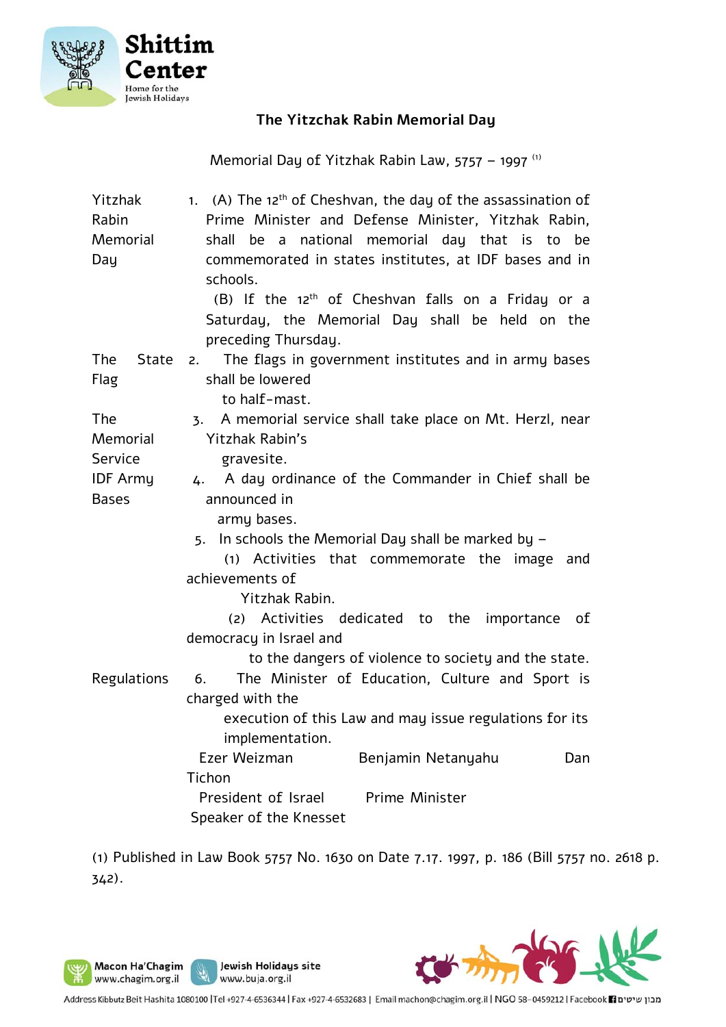

## **The Yitzchak Rabin Memorial Day**

Memorial Day of Yitzhak Rabin Law, 5757 – 1997 (1)

| Yitzhak                    | 1. (A) The 12 <sup>th</sup> of Cheshvan, the day of the assassination of   |
|----------------------------|----------------------------------------------------------------------------|
| Rabin                      | Prime Minister and Defense Minister, Yitzhak Rabin,                        |
| Memorial                   | shall be a national memorial day that is to be                             |
| Day                        | commemorated in states institutes, at IDF bases and in                     |
|                            | schools.                                                                   |
|                            | (B) If the 12 <sup>th</sup> of Cheshvan falls on a Friday or a             |
|                            | Saturday, the Memorial Day shall be held on the                            |
|                            | preceding Thursday.                                                        |
| <b>State</b><br><b>The</b> | The flags in government institutes and in army bases<br>2.                 |
| Flag                       | shall be lowered                                                           |
|                            | to half-mast.                                                              |
| <b>The</b>                 | A memorial service shall take place on Mt. Herzl, near<br>$\overline{3}$ . |
| Memorial                   | <b>Yitzhak Rabin's</b>                                                     |
| Service                    | gravesite.                                                                 |
| <b>IDF</b> Army            | A day ordinance of the Commander in Chief shall be<br>4.                   |
| <b>Bases</b>               | announced in                                                               |
|                            | army bases.                                                                |
|                            | 5. In schools the Memorial Day shall be marked by -                        |
|                            | (1) Activities that commemorate the image<br>and                           |
|                            | achievements of                                                            |
|                            | Yitzhak Rabin.                                                             |
|                            | Activities dedicated to the<br>importance<br>0f<br>(2)                     |
|                            | democracy in Israel and                                                    |
|                            | to the dangers of violence to society and the state.                       |
| Regulations                | The Minister of Education, Culture and Sport is<br>6.                      |
|                            | charged with the                                                           |
|                            | execution of this Law and may issue regulations for its                    |
|                            | implementation.                                                            |
|                            | Ezer Weizman<br>Benjamin Netanyahu<br>Dan                                  |
|                            | Tichon                                                                     |
|                            | President of Israel<br><b>Prime Minister</b>                               |
|                            | Speaker of the Knesset                                                     |

(1) Published in Law Book 5757 No. 1630 on Date 7.17. 1997, p. 186 (Bill 5757 no. 2618 p. 342).



J ľ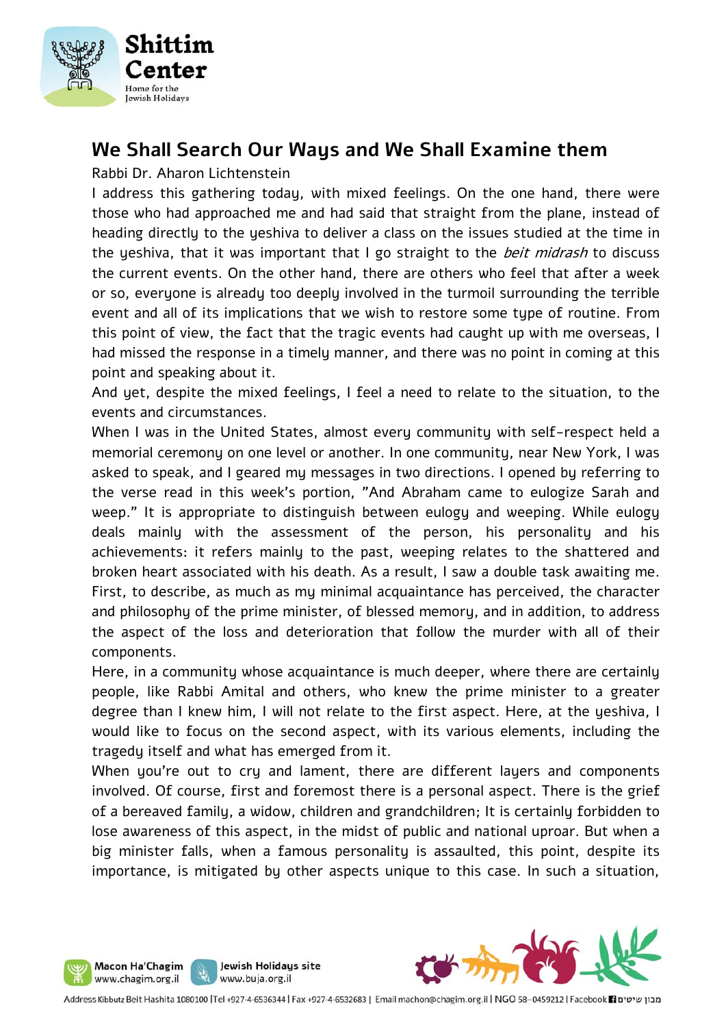

# **We Shall Search Our Ways and We Shall Examine them**

Rabbi Dr. Aharon Lichtenstein

I address this gathering today, with mixed feelings. On the one hand, there were those who had approached me and had said that straight from the plane, instead of heading directly to the yeshiva to deliver a class on the issues studied at the time in the yeshiva, that it was important that I go straight to the *beit midrash* to discuss the current events. On the other hand, there are others who feel that after a week or so, everyone is already too deeply involved in the turmoil surrounding the terrible event and all of its implications that we wish to restore some type of routine. From this point of view, the fact that the tragic events had caught up with me overseas, I had missed the response in a timely manner, and there was no point in coming at this point and speaking about it.

And yet, despite the mixed feelings, I feel a need to relate to the situation, to the events and circumstances.

When I was in the United States, almost every community with self-respect held a memorial ceremony on one level or another. In one community, near New York, I was asked to speak, and I geared my messages in two directions. I opened by referring to the verse read in this week's portion, "And Abraham came to eulogize Sarah and weep." It is appropriate to distinguish between eulogy and weeping. While eulogy deals mainly with the assessment of the person, his personality and his achievements: it refers mainly to the past, weeping relates to the shattered and broken heart associated with his death. As a result, I saw a double task awaiting me. First, to describe, as much as my minimal acquaintance has perceived, the character and philosophy of the prime minister, of blessed memory, and in addition, to address the aspect of the loss and deterioration that follow the murder with all of their components.

Here, in a community whose acquaintance is much deeper, where there are certainly people, like Rabbi Amital and others, who knew the prime minister to a greater degree than I knew him, I will not relate to the first aspect. Here, at the yeshiva, I would like to focus on the second aspect, with its various elements, including the tragedy itself and what has emerged from it.

When you're out to cry and lament, there are different layers and components involved. Of course, first and foremost there is a personal aspect. There is the grief of a bereaved family, a widow, children and grandchildren; It is certainly forbidden to lose awareness of this aspect, in the midst of public and national uproar. But when a big minister falls, when a famous personality is assaulted, this point, despite its importance, is mitigated by other aspects unique to this case. In such a situation,





Jewish Holidays site

www.buja.org.il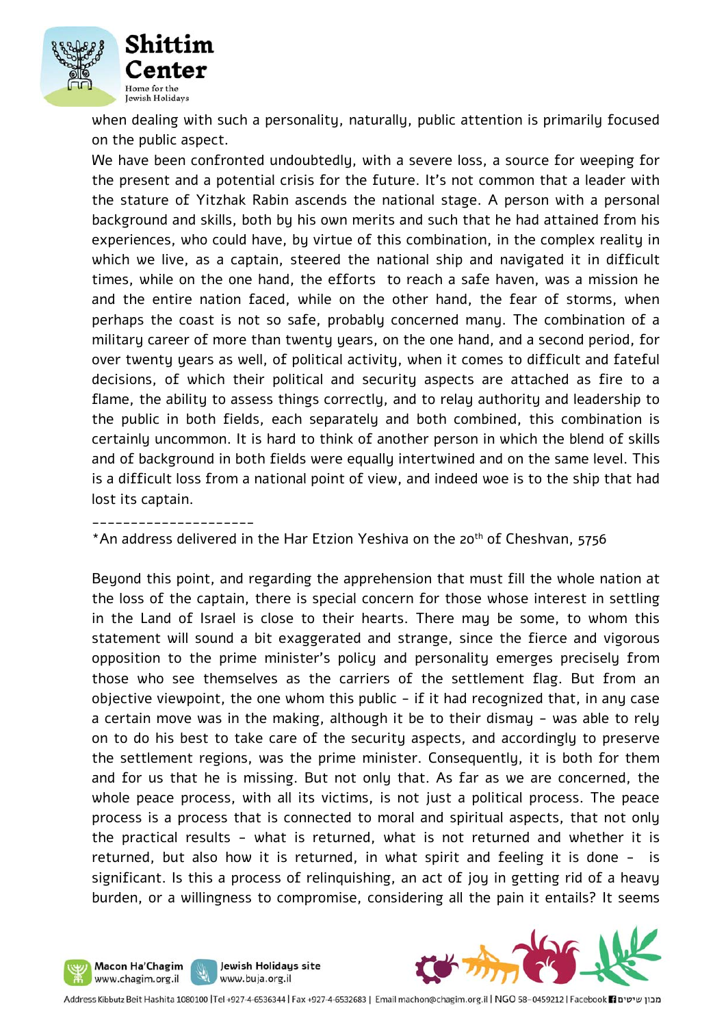

when dealing with such a personality, naturally, public attention is primarily focused on the public aspect.

We have been confronted undoubtedly, with a severe loss, a source for weeping for the present and a potential crisis for the future. It's not common that a leader with the stature of Yitzhak Rabin ascends the national stage. A person with a personal background and skills, both by his own merits and such that he had attained from his experiences, who could have, by virtue of this combination, in the complex reality in which we live, as a captain, steered the national ship and navigated it in difficult times, while on the one hand, the efforts to reach a safe haven, was a mission he and the entire nation faced, while on the other hand, the fear of storms, when perhaps the coast is not so safe, probably concerned many. The combination of a military career of more than twenty years, on the one hand, and a second period, for over twenty years as well, of political activity, when it comes to difficult and fateful decisions, of which their political and security aspects are attached as fire to a flame, the ability to assess things correctly, and to relay authority and leadership to the public in both fields, each separately and both combined, this combination is certainly uncommon. It is hard to think of another person in which the blend of skills and of background in both fields were equally intertwined and on the same level. This is a difficult loss from a national point of view, and indeed woe is to the ship that had lost its captain.

\_\_\_\_\_\_\_\_\_\_\_\_\_\_\_\_\_\_\_\_\_

\*An address delivered in the Har Etzion Yeshiva on the 20<sup>th</sup> of Cheshvan, 5756

Beyond this point, and regarding the apprehension that must fill the whole nation at the loss of the captain, there is special concern for those whose interest in settling in the Land of Israel is close to their hearts. There may be some, to whom this statement will sound a bit exaggerated and strange, since the fierce and vigorous opposition to the prime minister's policy and personality emerges precisely from those who see themselves as the carriers of the settlement flag. But from an objective viewpoint, the one whom this public  $-$  if it had recognized that, in any case a certain move was in the making, although it be to their dismay - was able to rely on to do his best to take care of the security aspects, and accordingly to preserve the settlement regions, was the prime minister. Consequently, it is both for them and for us that he is missing. But not only that. As far as we are concerned, the whole peace process, with all its victims, is not just a political process. The peace process is a process that is connected to moral and spiritual aspects, that not only the practical results - what is returned, what is not returned and whether it is returned, but also how it is returned, in what spirit and feeling it is done - is significant. Is this a process of relinquishing, an act of joy in getting rid of a heavy burden, or a willingness to compromise, considering all the pain it entails? It seems





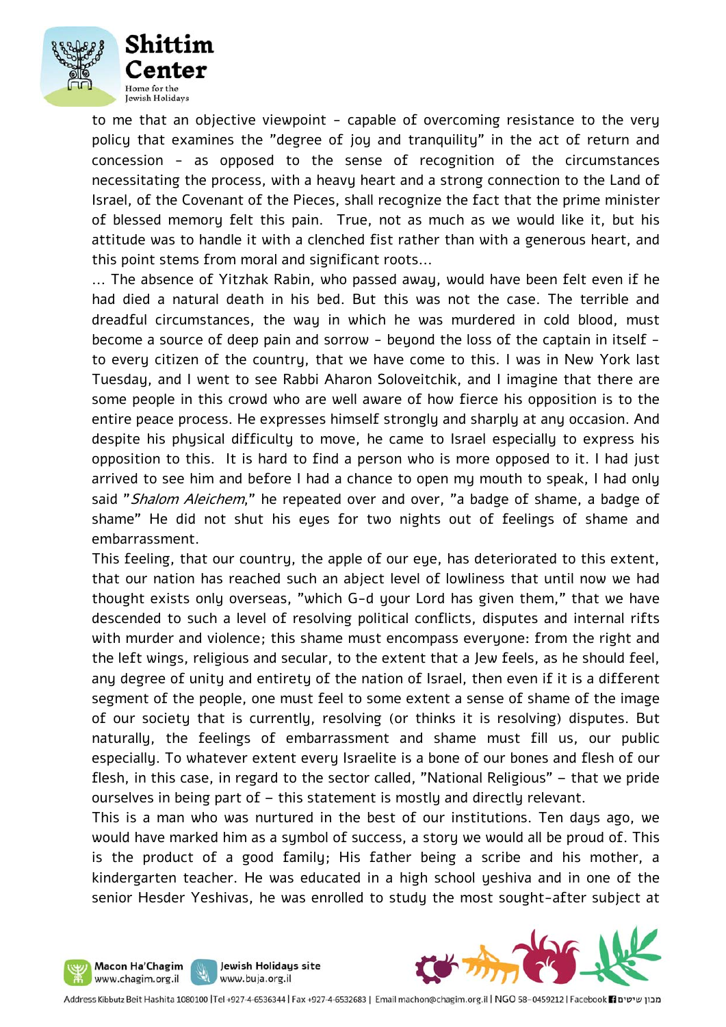

to me that an objective viewpoint - capable of overcoming resistance to the very policy that examines the "degree of joy and tranquility" in the act of return and concession - as opposed to the sense of recognition of the circumstances necessitating the process, with a heavy heart and a strong connection to the Land of Israel, of the Covenant of the Pieces, shall recognize the fact that the prime minister of blessed memory felt this pain. True, not as much as we would like it, but his attitude was to handle it with a clenched fist rather than with a generous heart, and this point stems from moral and significant roots...

... The absence of Yitzhak Rabin, who passed away, would have been felt even if he had died a natural death in his bed. But this was not the case. The terrible and dreadful circumstances, the way in which he was murdered in cold blood, must become a source of deep pain and sorrow - beyond the loss of the captain in itself to every citizen of the country, that we have come to this. I was in New York last Tuesday, and I went to see Rabbi Aharon Soloveitchik, and I imagine that there are some people in this crowd who are well aware of how fierce his opposition is to the entire peace process. He expresses himself strongly and sharply at any occasion. And despite his physical difficulty to move, he came to Israel especially to express his opposition to this. It is hard to find a person who is more opposed to it. I had just arrived to see him and before I had a chance to open my mouth to speak, I had only said "Shalom Aleichem," he repeated over and over, "a badge of shame, a badge of shame" He did not shut his eyes for two nights out of feelings of shame and embarrassment.

This feeling, that our country, the apple of our eye, has deteriorated to this extent, that our nation has reached such an abject level of lowliness that until now we had thought exists only overseas, "which G-d your Lord has given them," that we have descended to such a level of resolving political conflicts, disputes and internal rifts with murder and violence; this shame must encompass everyone: from the right and the left wings, religious and secular, to the extent that a Jew feels, as he should feel, any degree of unity and entirety of the nation of Israel, then even if it is a different segment of the people, one must feel to some extent a sense of shame of the image of our society that is currently, resolving (or thinks it is resolving) disputes. But naturally, the feelings of embarrassment and shame must fill us, our public especially. To whatever extent every Israelite is a bone of our bones and flesh of our flesh, in this case, in regard to the sector called, "National Religious" – that we pride ourselves in being part of – this statement is mostly and directly relevant.

This is a man who was nurtured in the best of our institutions. Ten days ago, we would have marked him as a symbol of success, a story we would all be proud of. This is the product of a good family; His father being a scribe and his mother, a kindergarten teacher. He was educated in a high school yeshiva and in one of the senior Hesder Yeshivas, he was enrolled to study the most sought-after subject at



Jewish Holidays site

www.buja.org.il

Macon Ha'Chagim www.chagim.org.il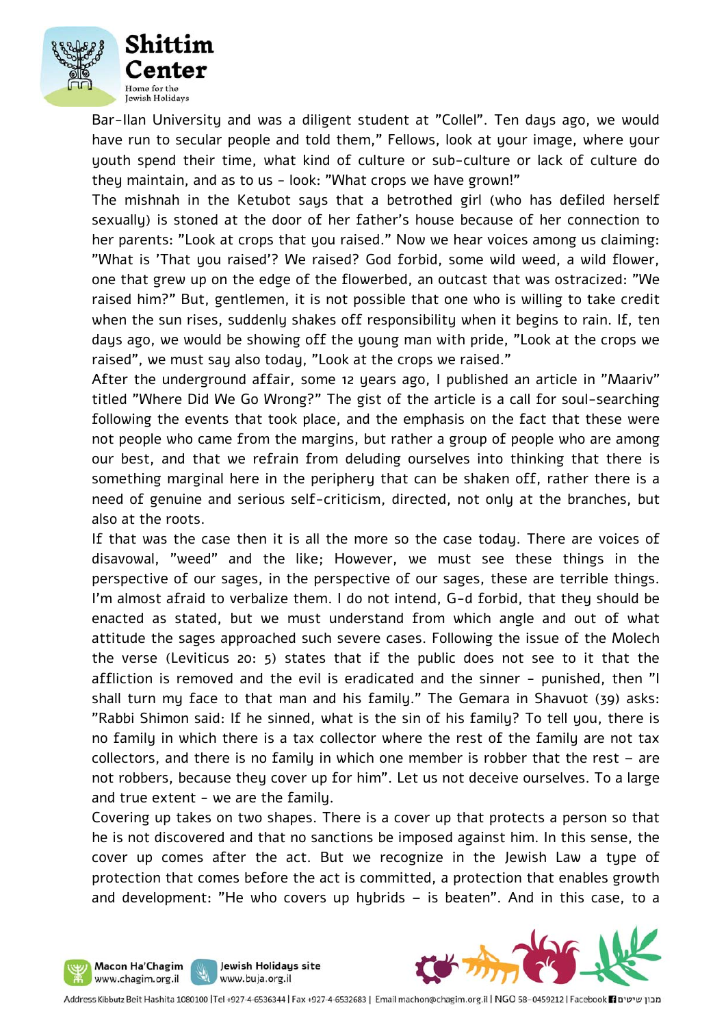

Bar-Ilan University and was a diligent student at "Collel". Ten days ago, we would have run to secular people and told them," Fellows, look at your image, where your youth spend their time, what kind of culture or sub-culture or lack of culture do they maintain, and as to us - look: "What crops we have grown!"

The mishnah in the Ketubot says that a betrothed girl (who has defiled herself sexually) is stoned at the door of her father's house because of her connection to her parents: "Look at crops that you raised." Now we hear voices among us claiming: "What is 'That you raised'? We raised? God forbid, some wild weed, a wild flower, one that grew up on the edge of the flowerbed, an outcast that was ostracized: "We raised him?" But, gentlemen, it is not possible that one who is willing to take credit when the sun rises, suddenly shakes off responsibility when it begins to rain. If, ten days ago, we would be showing off the young man with pride, "Look at the crops we raised", we must say also today, "Look at the crops we raised."

After the underground affair, some 12 years ago, I published an article in "Maariv" titled "Where Did We Go Wrong?" The gist of the article is a call for soul-searching following the events that took place, and the emphasis on the fact that these were not people who came from the margins, but rather a group of people who are among our best, and that we refrain from deluding ourselves into thinking that there is something marginal here in the periphery that can be shaken off, rather there is a need of genuine and serious self-criticism, directed, not only at the branches, but also at the roots.

If that was the case then it is all the more so the case today. There are voices of disavowal, "weed" and the like; However, we must see these things in the perspective of our sages, in the perspective of our sages, these are terrible things. I'm almost afraid to verbalize them. I do not intend, G-d forbid, that they should be enacted as stated, but we must understand from which angle and out of what attitude the sages approached such severe cases. Following the issue of the Molech the verse (Leviticus 20: 5) states that if the public does not see to it that the affliction is removed and the evil is eradicated and the sinner - punished, then "I shall turn my face to that man and his family." The Gemara in Shavuot (39) asks: "Rabbi Shimon said: If he sinned, what is the sin of his family? To tell you, there is no family in which there is a tax collector where the rest of the family are not tax collectors, and there is no family in which one member is robber that the rest – are not robbers, because they cover up for him". Let us not deceive ourselves. To a large and true extent - we are the family.

Covering up takes on two shapes. There is a cover up that protects a person so that he is not discovered and that no sanctions be imposed against him. In this sense, the cover up comes after the act. But we recognize in the Jewish Law a type of protection that comes before the act is committed, a protection that enables growth and development: "He who covers up hybrids – is beaten". And in this case, to a



Jewish Holidays site

www.buja.org.il

Macon Ha'Chagim www.chagim.org.il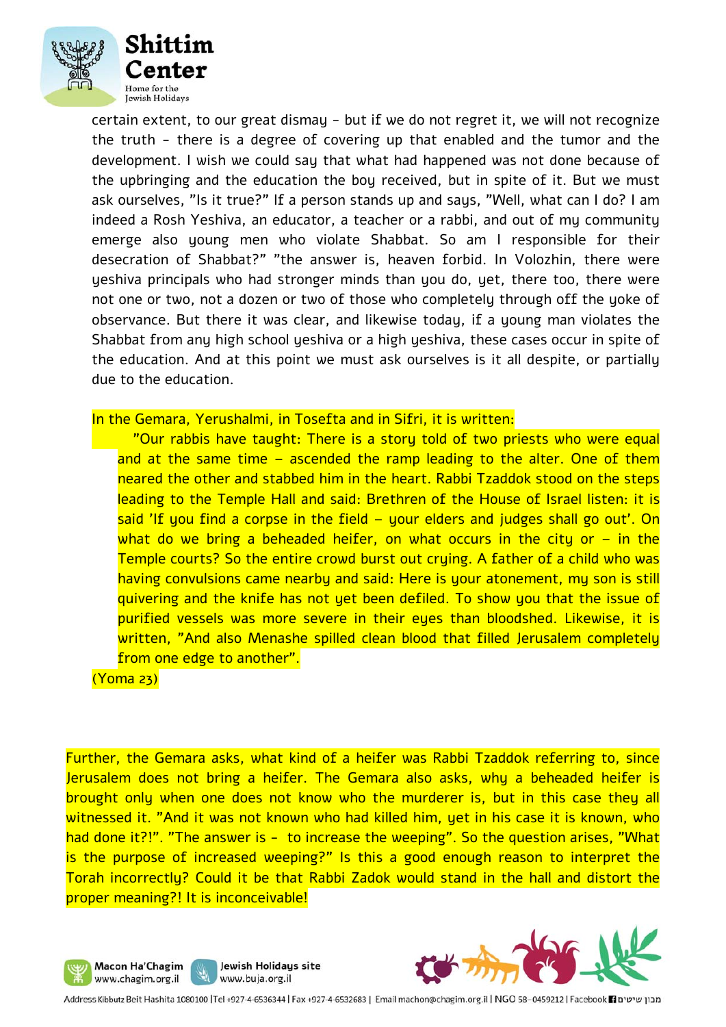

certain extent, to our great dismay - but if we do not regret it, we will not recognize the truth - there is a degree of covering up that enabled and the tumor and the development. I wish we could say that what had happened was not done because of the upbringing and the education the boy received, but in spite of it. But we must ask ourselves, "Is it true?" If a person stands up and says, "Well, what can I do? I am indeed a Rosh Yeshiva, an educator, a teacher or a rabbi, and out of my community emerge also young men who violate Shabbat. So am I responsible for their desecration of Shabbat?" "the answer is, heaven forbid. In Volozhin, there were yeshiva principals who had stronger minds than you do, yet, there too, there were not one or two, not a dozen or two of those who completely through off the yoke of observance. But there it was clear, and likewise today, if a young man violates the Shabbat from any high school yeshiva or a high yeshiva, these cases occur in spite of the education. And at this point we must ask ourselves is it all despite, or partially due to the education.

#### In the Gemara, Yerushalmi, in Tosefta and in Sifri, it is written:

 "Our rabbis have taught: There is a story told of two priests who were equal and at the same time – ascended the ramp leading to the alter. One of them neared the other and stabbed him in the heart. Rabbi Tzaddok stood on the steps leading to the Temple Hall and said: Brethren of the House of Israel listen: it is said 'If you find a corpse in the field – your elders and judges shall go out'. On what do we bring a beheaded heifer, on what occurs in the city or  $-$  in the Temple courts? So the entire crowd burst out crying. A father of a child who was having convulsions came nearby and said: Here is your atonement, my son is still quivering and the knife has not yet been defiled. To show you that the issue of purified vessels was more severe in their eyes than bloodshed. Likewise, it is written, "And also Menashe spilled clean blood that filled Jerusalem completely from one edge to another".

#### (Yoma 23)

Further, the Gemara asks, what kind of a heifer was Rabbi Tzaddok referring to, since Jerusalem does not bring a heifer. The Gemara also asks, why a beheaded heifer is brought only when one does not know who the murderer is, but in this case they all witnessed it. "And it was not known who had killed him, yet in his case it is known, who had done it?!". "The answer is - to increase the weeping". So the question arises, "What is the purpose of increased weeping?" Is this a good enough reason to interpret the Torah incorrectly? Could it be that Rabbi Zadok would stand in the hall and distort the proper meaning?! It is inconceivable!





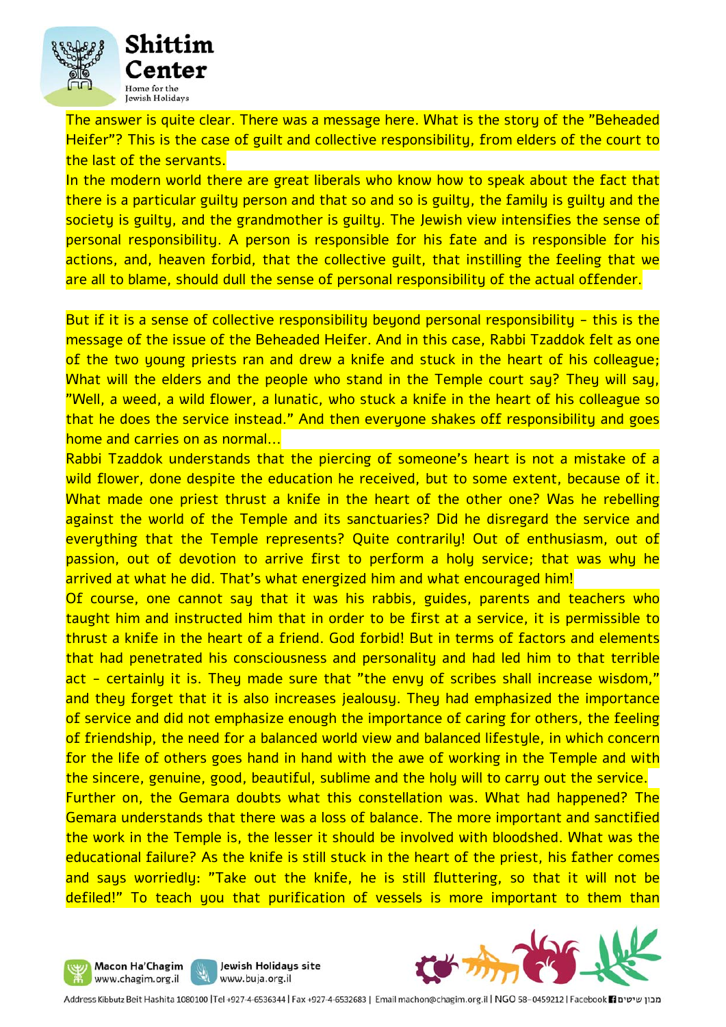

The answer is quite clear. There was a message here. What is the story of the "Beheaded Heifer"? This is the case of guilt and collective responsibility, from elders of the court to the last of the servants.

In the modern world there are great liberals who know how to speak about the fact that there is a particular guilty person and that so and so is guilty, the family is guilty and the society is guilty, and the grandmother is guilty. The Jewish view intensifies the sense of personal responsibility. A person is responsible for his fate and is responsible for his actions, and, heaven forbid, that the collective guilt, that instilling the feeling that we are all to blame, should dull the sense of personal responsibility of the actual offender.

But if it is a sense of collective responsibility beyond personal responsibility - this is the message of the issue of the Beheaded Heifer. And in this case, Rabbi Tzaddok felt as one of the two young priests ran and drew a knife and stuck in the heart of his colleague; What will the elders and the people who stand in the Temple court say? They will say, "Well, a weed, a wild flower, a lunatic, who stuck a knife in the heart of his colleague so that he does the service instead." And then everyone shakes off responsibility and goes home and carries on as normal...

Rabbi Tzaddok understands that the piercing of someone's heart is not a mistake of a wild flower, done despite the education he received, but to some extent, because of it. What made one priest thrust a knife in the heart of the other one? Was he rebelling against the world of the Temple and its sanctuaries? Did he disregard the service and everything that the Temple represents? Quite contrarily! Out of enthusiasm, out of passion, out of devotion to arrive first to perform a holy service; that was why he arrived at what he did. That's what energized him and what encouraged him!

Of course, one cannot say that it was his rabbis, guides, parents and teachers who taught him and instructed him that in order to be first at a service, it is permissible to thrust a knife in the heart of a friend. God forbid! But in terms of factors and elements that had penetrated his consciousness and personality and had led him to that terrible act - certainly it is. They made sure that "the envy of scribes shall increase wisdom," and they forget that it is also increases jealousy. They had emphasized the importance of service and did not emphasize enough the importance of caring for others, the feeling of friendship, the need for a balanced world view and balanced lifestyle, in which concern for the life of others goes hand in hand with the awe of working in the Temple and with the sincere, genuine, good, beautiful, sublime and the holy will to carry out the service. Further on, the Gemara doubts what this constellation was. What had happened? The Gemara understands that there was a loss of balance. The more important and sanctified the work in the Temple is, the lesser it should be involved with bloodshed. What was the educational failure? As the knife is still stuck in the heart of the priest, his father comes and says worriedly: "Take out the knife, he is still fluttering, so that it will not be defiled!" To teach you that purification of vessels is more important to them than





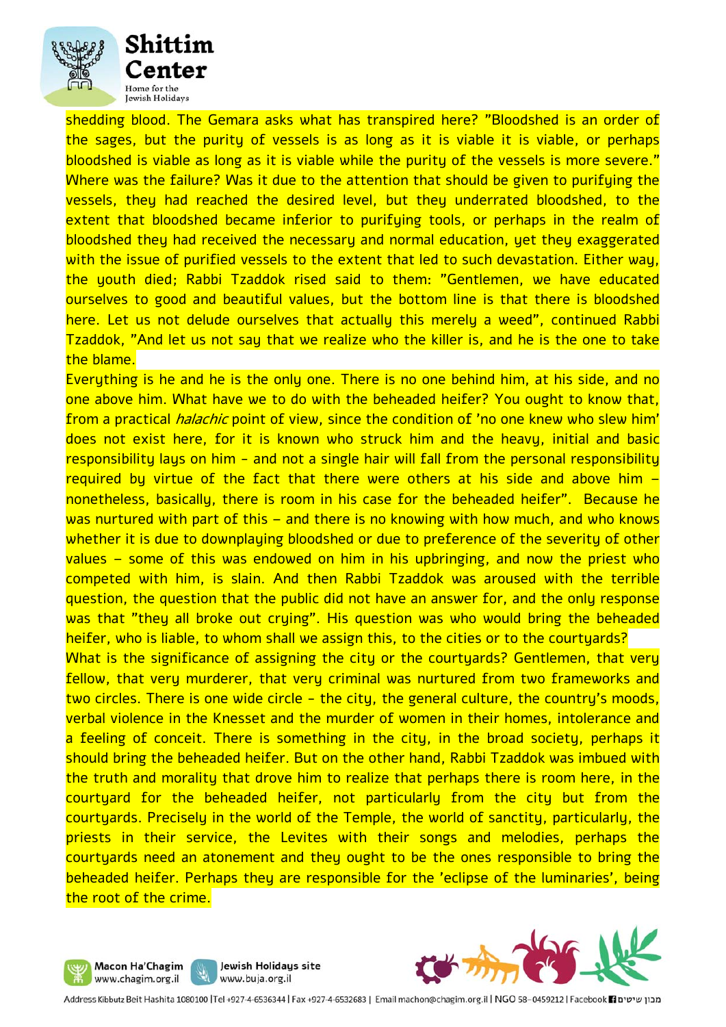

shedding blood. The Gemara asks what has transpired here? "Bloodshed is an order of the sages, but the purity of vessels is as long as it is viable it is viable, or perhaps bloodshed is viable as long as it is viable while the purity of the vessels is more severe." Where was the failure? Was it due to the attention that should be given to purifying the vessels, they had reached the desired level, but they underrated bloodshed, to the extent that bloodshed became inferior to purifying tools, or perhaps in the realm of bloodshed they had received the necessary and normal education, yet they exaggerated with the issue of purified vessels to the extent that led to such devastation. Either way, the youth died; Rabbi Tzaddok rised said to them: "Gentlemen, we have educated ourselves to good and beautiful values, but the bottom line is that there is bloodshed here. Let us not delude ourselves that actually this merely a weed", continued Rabbi Tzaddok, "And let us not say that we realize who the killer is, and he is the one to take the blame.

Everything is he and he is the only one. There is no one behind him, at his side, and no one above him. What have we to do with the beheaded heifer? You ought to know that, from a practical *halachic* point of view, since the condition of 'no one knew who slew him' does not exist here, for it is known who struck him and the heavy, initial and basic responsibility lays on him - and not a single hair will fall from the personal responsibility required by virtue of the fact that there were others at his side and above him – nonetheless, basically, there is room in his case for the beheaded heifer". Because he was nurtured with part of this – and there is no knowing with how much, and who knows whether it is due to downplaying bloodshed or due to preference of the severity of other values – some of this was endowed on him in his upbringing, and now the priest who competed with him, is slain. And then Rabbi Tzaddok was aroused with the terrible question, the question that the public did not have an answer for, and the only response was that "they all broke out crying". His question was who would bring the beheaded heifer, who is liable, to whom shall we assign this, to the cities or to the courtyards?

What is the significance of assigning the city or the courtyards? Gentlemen, that very fellow, that very murderer, that very criminal was nurtured from two frameworks and two circles. There is one wide circle - the city, the general culture, the country's moods, verbal violence in the Knesset and the murder of women in their homes, intolerance and a feeling of conceit. There is something in the city, in the broad society, perhaps it should bring the beheaded heifer. But on the other hand, Rabbi Tzaddok was imbued with the truth and morality that drove him to realize that perhaps there is room here, in the courtyard for the beheaded heifer, not particularly from the city but from the courtyards. Precisely in the world of the Temple, the world of sanctity, particularly, the priests in their service, the Levites with their songs and melodies, perhaps the courtyards need an atonement and they ought to be the ones responsible to bring the beheaded heifer. Perhaps they are responsible for the 'eclipse of the luminaries', being the root of the crime.





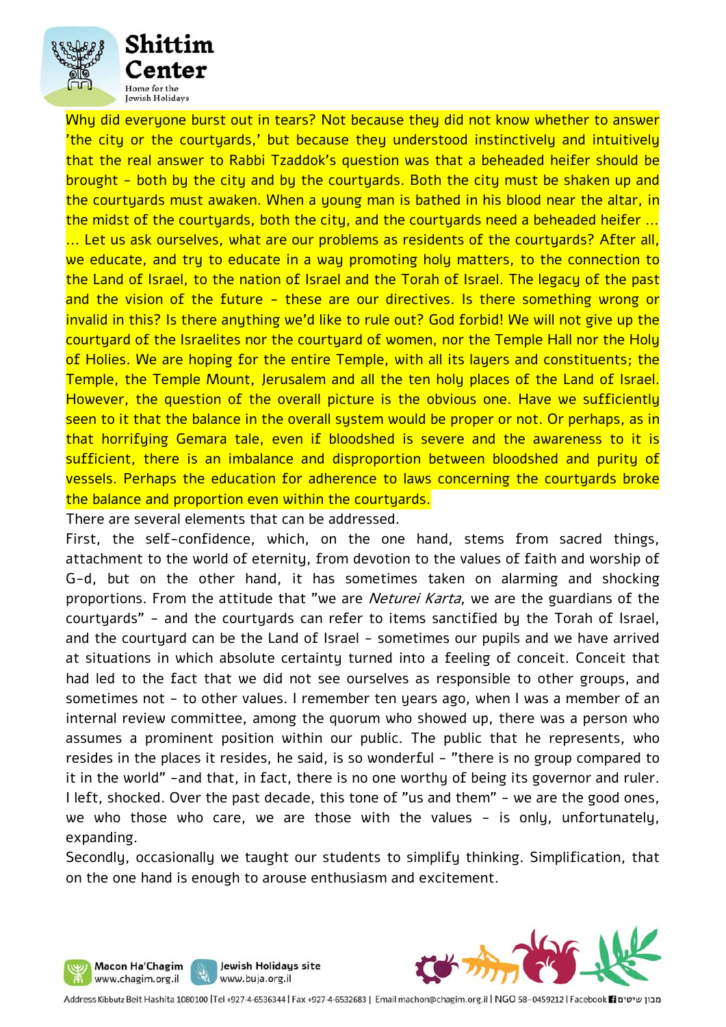

Why did everyone burst out in tears? Not because they did not know whether to answer 'the city or the courtyards,' but because they understood instinctively and intuitively that the real answer to Rabbi Tzaddok's question was that a beheaded heifer should be brought - both by the city and by the courtyards. Both the city must be shaken up and the courtyards must awaken. When a young man is bathed in his blood near the altar, in the midst of the courtuards, both the city, and the courtuards need a beheaded heifer ... ... Let us ask ourselves, what are our problems as residents of the courtyards? After all, we educate, and try to educate in a way promoting holy matters, to the connection to the Land of Israel, to the nation of Israel and the Torah of Israel. The legacy of the past and the vision of the future - these are our directives. Is there something wrong or invalid in this? Is there anything we'd like to rule out? God forbid! We will not give up the courtyard of the Israelites nor the courtyard of women, nor the Temple Hall nor the Holy of Holies. We are hoping for the entire Temple, with all its layers and constituents; the Temple, the Temple Mount, Jerusalem and all the ten holy places of the Land of Israel. However, the question of the overall picture is the obvious one. Have we sufficiently seen to it that the balance in the overall system would be proper or not. Or perhaps, as in that horrifying Gemara tale, even if bloodshed is severe and the awareness to it is sufficient, there is an imbalance and disproportion between bloodshed and purity of vessels. Perhaps the education for adherence to laws concerning the courtyards broke the balance and proportion even within the courtyards.

There are several elements that can be addressed.

Macon Ha'Chagim

www.chagim.org.il

First, the self-confidence, which, on the one hand, stems from sacred things, attachment to the world of eternity, from devotion to the values of faith and worship of G-d, but on the other hand, it has sometimes taken on alarming and shocking proportions. From the attitude that "we are *Neturei Karta*, we are the guardians of the courtyards" - and the courtyards can refer to items sanctified by the Torah of Israel, and the courtyard can be the Land of Israel - sometimes our pupils and we have arrived at situations in which absolute certainty turned into a feeling of conceit. Conceit that had led to the fact that we did not see ourselves as responsible to other groups, and sometimes not - to other values. I remember ten years ago, when I was a member of an internal review committee, among the quorum who showed up, there was a person who assumes a prominent position within our public. The public that he represents, who resides in the places it resides, he said, is so wonderful - "there is no group compared to it in the world" -and that, in fact, there is no one worthy of being its governor and ruler. I left, shocked. Over the past decade, this tone of "us and them" - we are the good ones, we who those who care, we are those with the values - is only, unfortunately, expanding.

Secondly, occasionally we taught our students to simplify thinking. Simplification, that on the one hand is enough to arouse enthusiasm and excitement.



Jewish Holidays site

www.buja.org.il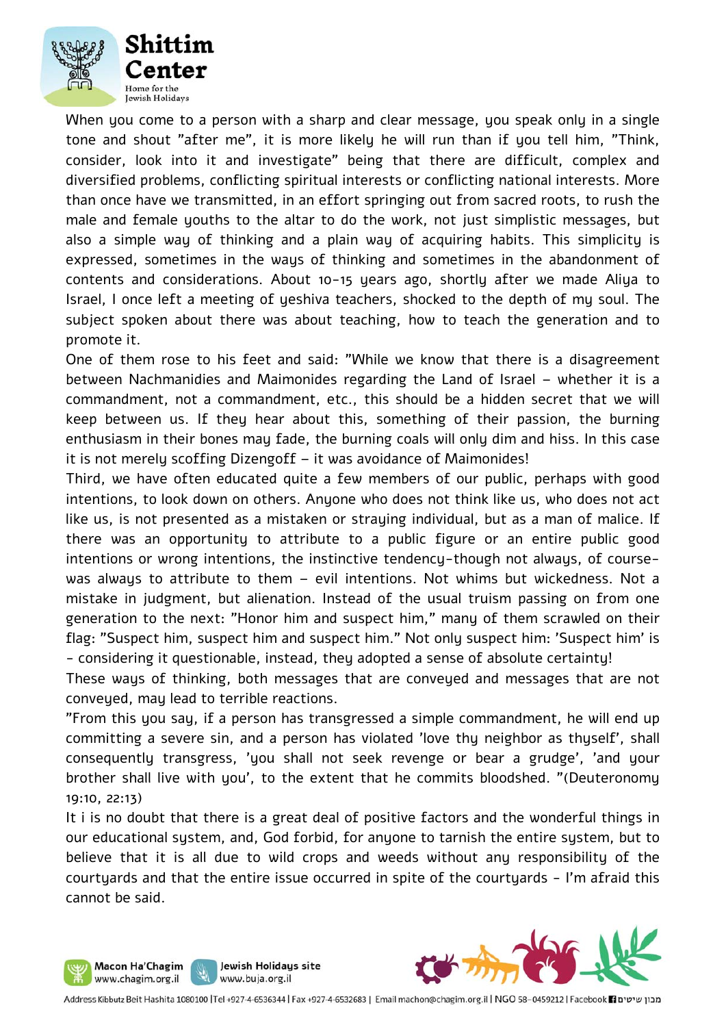

When you come to a person with a sharp and clear message, you speak only in a single tone and shout "after me", it is more likely he will run than if you tell him, "Think, consider, look into it and investigate" being that there are difficult, complex and diversified problems, conflicting spiritual interests or conflicting national interests. More than once have we transmitted, in an effort springing out from sacred roots, to rush the male and female youths to the altar to do the work, not just simplistic messages, but also a simple way of thinking and a plain way of acquiring habits. This simplicity is expressed, sometimes in the ways of thinking and sometimes in the abandonment of contents and considerations. About 10-15 years ago, shortly after we made Aliya to Israel, I once left a meeting of yeshiva teachers, shocked to the depth of my soul. The subject spoken about there was about teaching, how to teach the generation and to promote it.

One of them rose to his feet and said: "While we know that there is a disagreement between Nachmanidies and Maimonides regarding the Land of Israel – whether it is a commandment, not a commandment, etc., this should be a hidden secret that we will keep between us. If they hear about this, something of their passion, the burning enthusiasm in their bones may fade, the burning coals will only dim and hiss. In this case it is not merely scoffing Dizengoff – it was avoidance of Maimonides!

Third, we have often educated quite a few members of our public, perhaps with good intentions, to look down on others. Anyone who does not think like us, who does not act like us, is not presented as a mistaken or straying individual, but as a man of malice. If there was an opportunity to attribute to a public figure or an entire public good intentions or wrong intentions, the instinctive tendency-though not always, of coursewas always to attribute to them – evil intentions. Not whims but wickedness. Not a mistake in judgment, but alienation. Instead of the usual truism passing on from one generation to the next: "Honor him and suspect him," many of them scrawled on their flag: "Suspect him, suspect him and suspect him." Not only suspect him: 'Suspect him' is - considering it questionable, instead, they adopted a sense of absolute certainty!

These ways of thinking, both messages that are conveyed and messages that are not conveyed, may lead to terrible reactions.

"From this you say, if a person has transgressed a simple commandment, he will end up committing a severe sin, and a person has violated 'love thy neighbor as thyself', shall consequently transgress, 'you shall not seek revenge or bear a grudge', 'and your brother shall live with you', to the extent that he commits bloodshed. "(Deuteronomy 19:10, 22:13)

It i is no doubt that there is a great deal of positive factors and the wonderful things in our educational system, and, God forbid, for anyone to tarnish the entire system, but to believe that it is all due to wild crops and weeds without any responsibility of the courtyards and that the entire issue occurred in spite of the courtyards - I'm afraid this cannot be said.





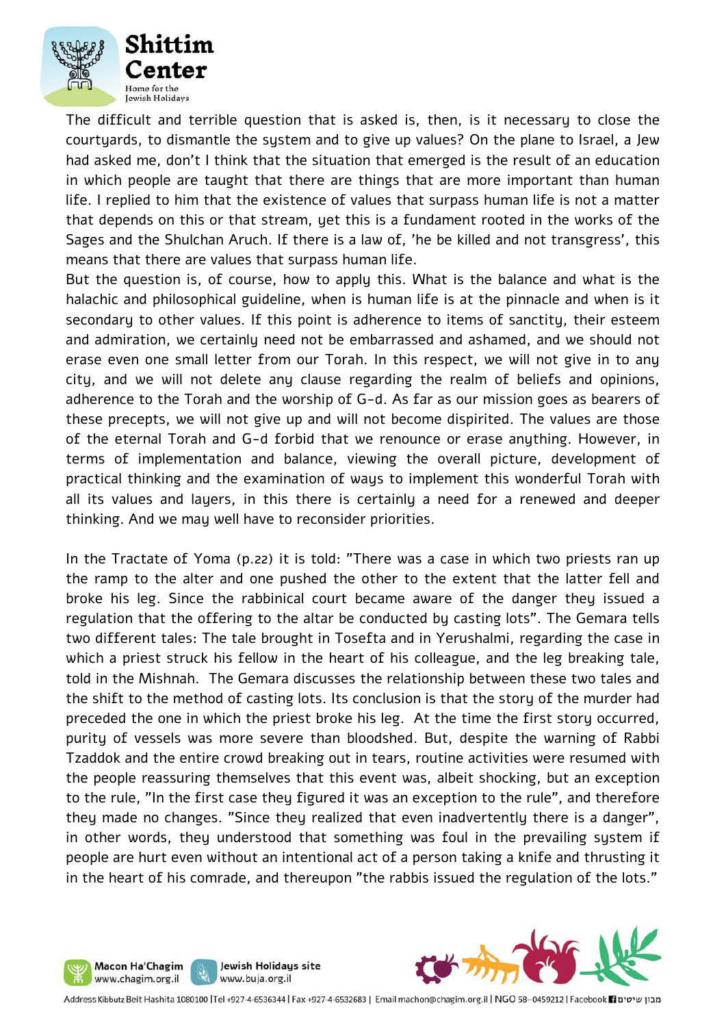

The difficult and terrible question that is asked is, then, is it necessary to close the courtyards, to dismantle the system and to give up values? On the plane to Israel, a Jew had asked me, don't I think that the situation that emerged is the result of an education in which people are taught that there are things that are more important than human life. I replied to him that the existence of values that surpass human life is not a matter that depends on this or that stream, yet this is a fundament rooted in the works of the Sages and the Shulchan Aruch. If there is a law of, 'he be killed and not transgress', this means that there are values that surpass human life.

But the question is, of course, how to apply this. What is the balance and what is the halachic and philosophical guideline, when is human life is at the pinnacle and when is it secondary to other values. If this point is adherence to items of sanctity, their esteem and admiration, we certainly need not be embarrassed and ashamed, and we should not erase even one small letter from our Torah. In this respect, we will not give in to any city, and we will not delete any clause regarding the realm of beliefs and opinions, adherence to the Torah and the worship of G-d. As far as our mission goes as bearers of these precepts, we will not give up and will not become dispirited. The values are those of the eternal Torah and G-d forbid that we renounce or erase anything. However, in terms of implementation and balance, viewing the overall picture, development of practical thinking and the examination of ways to implement this wonderful Torah with all its values and layers, in this there is certainly a need for a renewed and deeper thinking. And we may well have to reconsider priorities.

In the Tractate of Yoma (p.22) it is told: "There was a case in which two priests ran up the ramp to the alter and one pushed the other to the extent that the latter fell and broke his leg. Since the rabbinical court became aware of the danger they issued a regulation that the offering to the altar be conducted by casting lots". The Gemara tells two different tales: The tale brought in Tosefta and in Yerushalmi, regarding the case in which a priest struck his fellow in the heart of his colleague, and the leg breaking tale, told in the Mishnah. The Gemara discusses the relationship between these two tales and the shift to the method of casting lots. Its conclusion is that the story of the murder had preceded the one in which the priest broke his leg. At the time the first story occurred, purity of vessels was more severe than bloodshed. But, despite the warning of Rabbi Tzaddok and the entire crowd breaking out in tears, routine activities were resumed with the people reassuring themselves that this event was, albeit shocking, but an exception to the rule, "In the first case they figured it was an exception to the rule", and therefore they made no changes. "Since they realized that even inadvertently there is a danger", in other words, they understood that something was foul in the prevailing system if people are hurt even without an intentional act of a person taking a knife and thrusting it in the heart of his comrade, and thereupon "the rabbis issued the regulation of the lots."





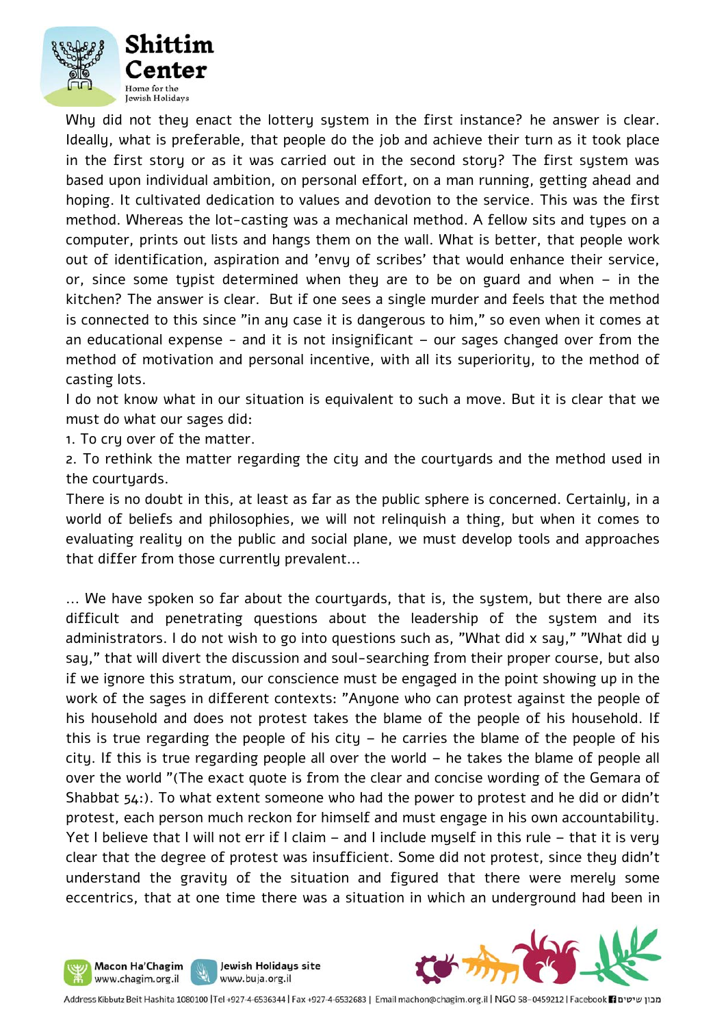

Why did not they enact the lottery system in the first instance? he answer is clear. Ideally, what is preferable, that people do the job and achieve their turn as it took place in the first story or as it was carried out in the second story? The first system was based upon individual ambition, on personal effort, on a man running, getting ahead and hoping. It cultivated dedication to values and devotion to the service. This was the first method. Whereas the lot-casting was a mechanical method. A fellow sits and types on a computer, prints out lists and hangs them on the wall. What is better, that people work out of identification, aspiration and 'envy of scribes' that would enhance their service, or, since some typist determined when they are to be on guard and when – in the kitchen? The answer is clear. But if one sees a single murder and feels that the method is connected to this since "in any case it is dangerous to him," so even when it comes at an educational expense - and it is not insignificant – our sages changed over from the method of motivation and personal incentive, with all its superiority, to the method of casting lots.

I do not know what in our situation is equivalent to such a move. But it is clear that we must do what our sages did:

1. To cry over of the matter.

Macon Ha'Chagim www.chagim.org.il

2. To rethink the matter regarding the city and the courtyards and the method used in the courtyards.

There is no doubt in this, at least as far as the public sphere is concerned. Certainly, in a world of beliefs and philosophies, we will not relinquish a thing, but when it comes to evaluating reality on the public and social plane, we must develop tools and approaches that differ from those currently prevalent...

... We have spoken so far about the courtyards, that is, the system, but there are also difficult and penetrating questions about the leadership of the system and its administrators. I do not wish to go into questions such as, "What did x say," "What did y say," that will divert the discussion and soul-searching from their proper course, but also if we ignore this stratum, our conscience must be engaged in the point showing up in the work of the sages in different contexts: "Anyone who can protest against the people of his household and does not protest takes the blame of the people of his household. If this is true regarding the people of his city – he carries the blame of the people of his city. If this is true regarding people all over the world – he takes the blame of people all over the world "(The exact quote is from the clear and concise wording of the Gemara of Shabbat 54:). To what extent someone who had the power to protest and he did or didn't protest, each person much reckon for himself and must engage in his own accountability. Yet I believe that I will not err if I claim – and I include myself in this rule – that it is very clear that the degree of protest was insufficient. Some did not protest, since they didn't understand the gravity of the situation and figured that there were merely some eccentrics, that at one time there was a situation in which an underground had been in



Jewish Holidays site

www.buja.org.il